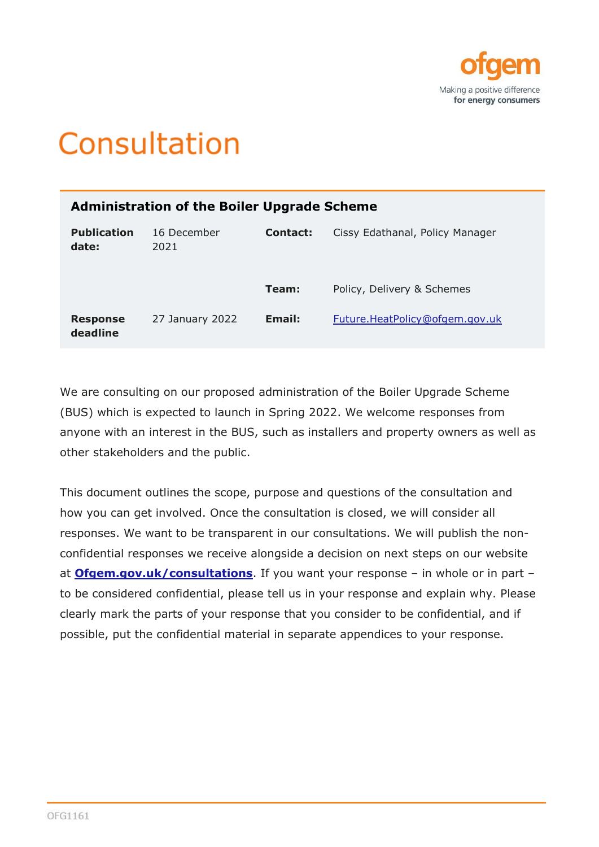

# Consultation

| <b>Administration of the Boiler Upgrade Scheme</b> |                     |          |                                 |
|----------------------------------------------------|---------------------|----------|---------------------------------|
| <b>Publication</b><br>date:                        | 16 December<br>2021 | Contact: | Cissy Edathanal, Policy Manager |
|                                                    |                     | Team:    | Policy, Delivery & Schemes      |
| <b>Response</b><br>deadline                        | 27 January 2022     | Email:   | Future.HeatPolicy@ofgem.gov.uk  |

We are consulting on our proposed administration of the Boiler Upgrade Scheme (BUS) which is expected to launch in Spring 2022. We welcome responses from anyone with an interest in the BUS, such as installers and property owners as well as other stakeholders and the public.

This document outlines the scope, purpose and questions of the consultation and how you can get involved. Once the consultation is closed, we will consider all responses. We want to be transparent in our consultations. We will publish the nonconfidential responses we receive alongside a decision on next steps on our website at **[Ofgem.gov.uk/consultations](https://www.ofgem.gov.uk/consultations)**. If you want your response – in whole or in part – to be considered confidential, please tell us in your response and explain why. Please clearly mark the parts of your response that you consider to be confidential, and if possible, put the confidential material in separate appendices to your response.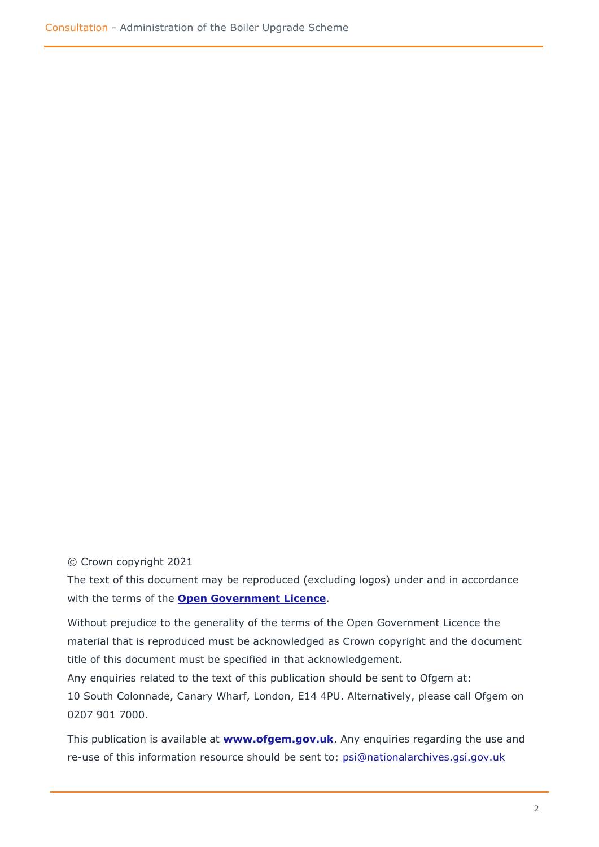© Crown copyright 2021

The text of this document may be reproduced (excluding logos) under and in accordance with the terms of the **[Open Government Licence](http://www.nationalarchives.gov.uk/doc/open-government-licence/version/3/)**.

Without prejudice to the generality of the terms of the Open Government Licence the material that is reproduced must be acknowledged as Crown copyright and the document title of this document must be specified in that acknowledgement.

Any enquiries related to the text of this publication should be sent to Ofgem at: 10 South Colonnade, Canary Wharf, London, E14 4PU. Alternatively, please call Ofgem on 0207 901 7000.

This publication is available at **[www.ofgem.gov.uk](http://www.ofgem.gov.uk/)**. Any enquiries regarding the use and re-use of this information resource should be sent to: [psi@nationalarchives.gsi.gov.uk](mailto:psi@nationalarchives.gsi.gov.uk)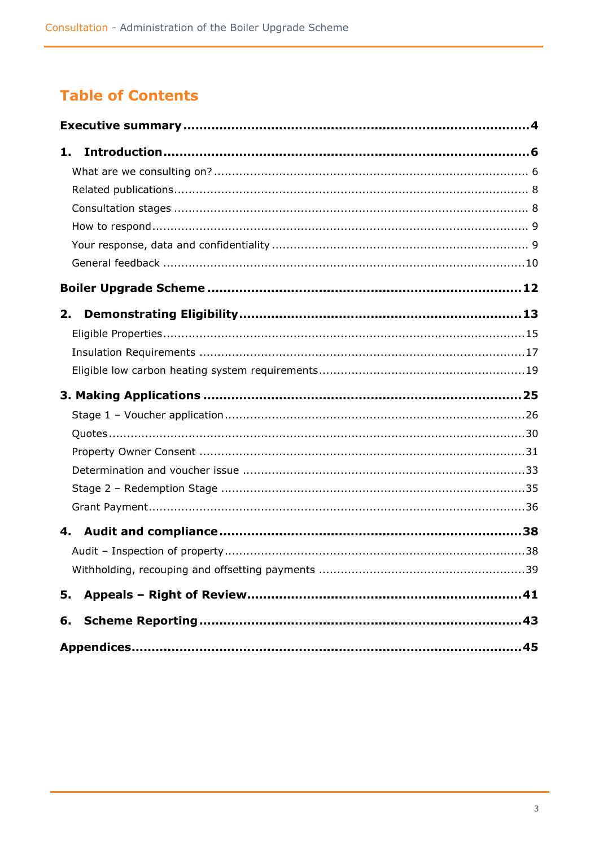# **Table of Contents**

| 1. |     |
|----|-----|
|    |     |
|    |     |
|    |     |
|    |     |
|    |     |
|    |     |
|    |     |
| 2. |     |
|    |     |
|    |     |
|    |     |
|    |     |
|    |     |
|    |     |
|    |     |
|    |     |
|    |     |
|    |     |
|    |     |
|    |     |
|    | .39 |
|    |     |
|    |     |
|    |     |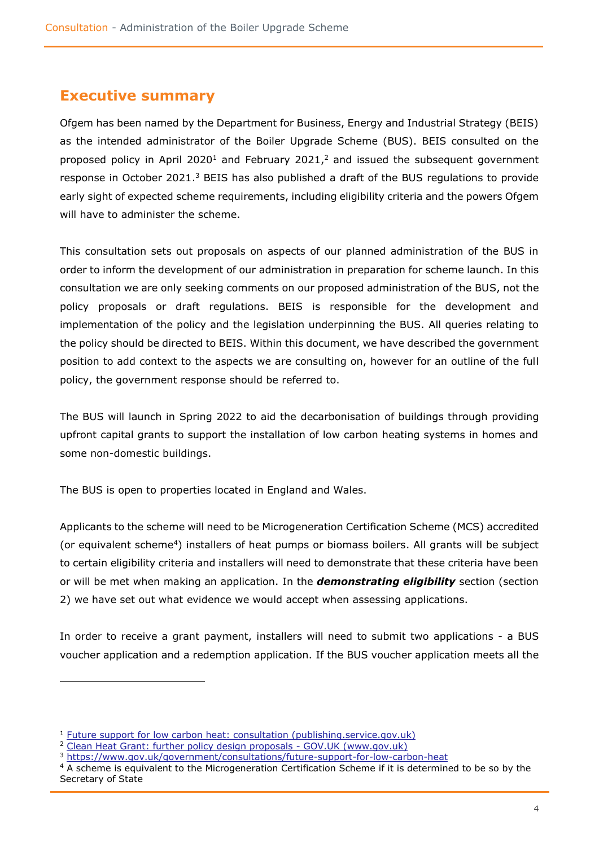# <span id="page-3-0"></span>**Executive summary**

Ofgem has been named by the Department for Business, Energy and Industrial Strategy (BEIS) as the intended administrator of the Boiler Upgrade Scheme (BUS). BEIS consulted on the proposed policy in April 2020<sup>1</sup> and February 2021,<sup>2</sup> and issued the subsequent government response in October 2021. $3$  BEIS has also published a draft of the BUS regulations to provide early sight of expected scheme requirements, including eligibility criteria and the powers Ofgem will have to administer the scheme.

This consultation sets out proposals on aspects of our planned administration of the BUS in order to inform the development of our administration in preparation for scheme launch. In this consultation we are only seeking comments on our proposed administration of the BUS, not the policy proposals or draft regulations. BEIS is responsible for the development and implementation of the policy and the legislation underpinning the BUS. All queries relating to the policy should be directed to BEIS. Within this document, we have described the government position to add context to the aspects we are consulting on, however for an outline of the full policy, the government response should be referred to.

The BUS will launch in Spring 2022 to aid the decarbonisation of buildings through providing upfront capital grants to support the installation of low carbon heating systems in homes and some non-domestic buildings.

The BUS is open to properties located in England and Wales.

Applicants to the scheme will need to be Microgeneration Certification Scheme (MCS) accredited (or equivalent scheme<sup>4</sup>) installers of heat pumps or biomass boilers. All grants will be subject to certain eligibility criteria and installers will need to demonstrate that these criteria have been or will be met when making an application. In the *demonstrating eligibility* section (section 2) we have set out what evidence we would accept when assessing applications.

In order to receive a grant payment, installers will need to submit two applications - a BUS voucher application and a redemption application. If the BUS voucher application meets all the

<sup>&</sup>lt;sup>1</sup> [Future support for low carbon heat: consultation \(publishing.service.gov.uk\)](https://assets.publishing.service.gov.uk/government/uploads/system/uploads/attachment_data/file/888736/future-support-for-low-carbon-heat-consultation.pdf)

<sup>&</sup>lt;sup>2</sup> Clean Heat [Grant: further policy design proposals -](https://www.gov.uk/government/consultations/clean-heat-grant-further-policy-design-proposals) GOV.UK (www.gov.uk)

<sup>3</sup> <https://www.gov.uk/government/consultations/future-support-for-low-carbon-heat>

<sup>&</sup>lt;sup>4</sup> A scheme is equivalent to the Microgeneration Certification Scheme if it is determined to be so by the Secretary of State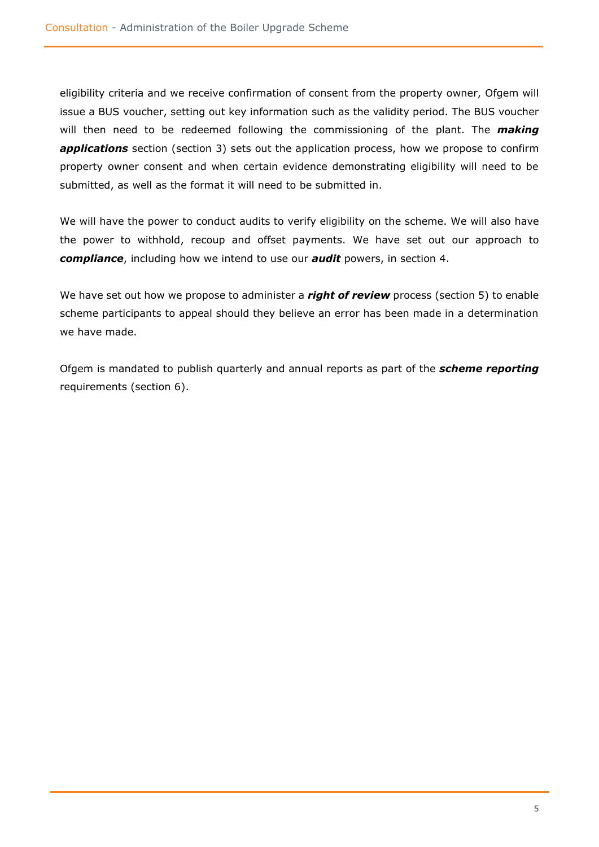eligibility criteria and we receive confirmation of consent from the property owner, Ofgem will issue a BUS voucher, setting out key information such as the validity period. The BUS voucher will then need to be redeemed following the commissioning of the plant. The *making*  applications section (section 3) sets out the application process, how we propose to confirm property owner consent and when certain evidence demonstrating eligibility will need to be submitted, as well as the format it will need to be submitted in.

We will have the power to conduct audits to verify eligibility on the scheme. We will also have the power to withhold, recoup and offset payments. We have set out our approach to *compliance*, including how we intend to use our *audit* powers, in section 4.

We have set out how we propose to administer a *right of review* process (section 5) to enable scheme participants to appeal should they believe an error has been made in a determination we have made.

Ofgem is mandated to publish quarterly and annual reports as part of the *scheme reporting* requirements (section 6).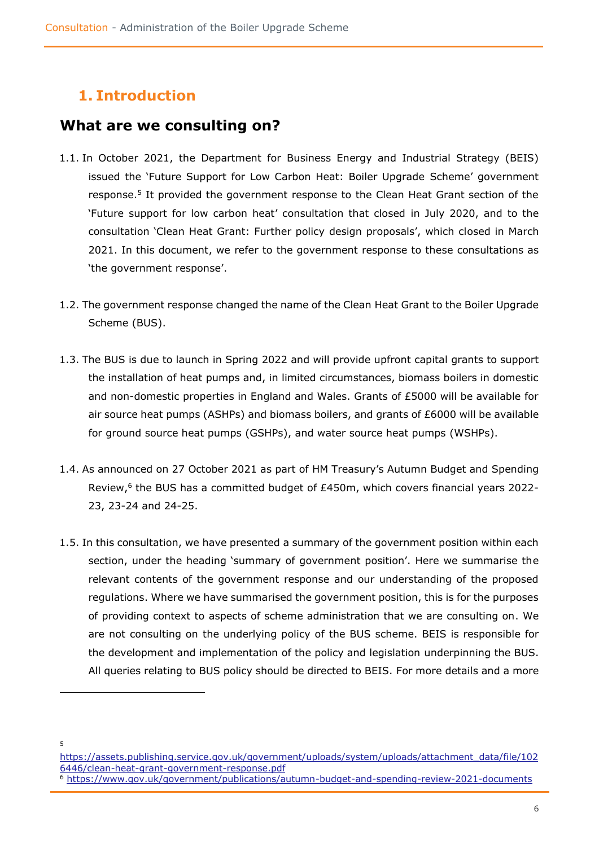# <span id="page-5-0"></span>**1. Introduction**

# <span id="page-5-1"></span>**What are we consulting on?**

- 1.1. In October 2021, the Department for Business Energy and Industrial Strategy (BEIS) issued the 'Future Support for Low Carbon Heat: Boiler Upgrade Scheme' government response.<sup>5</sup> It provided the government response to the Clean Heat Grant section of the 'Future support for low carbon heat' consultation that closed in July 2020, and to the consultation 'Clean Heat Grant: Further policy design proposals', which closed in March 2021. In this document, we refer to the government response to these consultations as 'the government response'.
- 1.2. The government response changed the name of the Clean Heat Grant to the Boiler Upgrade Scheme (BUS).
- 1.3. The BUS is due to launch in Spring 2022 and will provide upfront capital grants to support the installation of heat pumps and, in limited circumstances, biomass boilers in domestic and non-domestic properties in England and Wales. Grants of £5000 will be available for air source heat pumps (ASHPs) and biomass boilers, and grants of £6000 will be available for ground source heat pumps (GSHPs), and water source heat pumps (WSHPs).
- 1.4. As announced on 27 October 2021 as part of HM Treasury's Autumn Budget and Spending Review,<sup>6</sup> the BUS has a committed budget of  $E450m$ , which covers financial years 2022-23, 23-24 and 24-25.
- 1.5. In this consultation, we have presented a summary of the government position within each section, under the heading 'summary of government position'. Here we summarise the relevant contents of the government response and our understanding of the proposed regulations. Where we have summarised the government position, this is for the purposes of providing context to aspects of scheme administration that we are consulting on. We are not consulting on the underlying policy of the BUS scheme. BEIS is responsible for the development and implementation of the policy and legislation underpinning the BUS. All queries relating to BUS policy should be directed to BEIS. For more details and a more

5

[https://assets.publishing.service.gov.uk/government/uploads/system/uploads/attachment\\_data/file/102](https://assets.publishing.service.gov.uk/government/uploads/system/uploads/attachment_data/file/1026446/clean-heat-grant-government-response.pdf) [6446/clean-heat-grant-government-response.pdf](https://assets.publishing.service.gov.uk/government/uploads/system/uploads/attachment_data/file/1026446/clean-heat-grant-government-response.pdf) <sup>6</sup> <https://www.gov.uk/government/publications/autumn-budget-and-spending-review-2021-documents>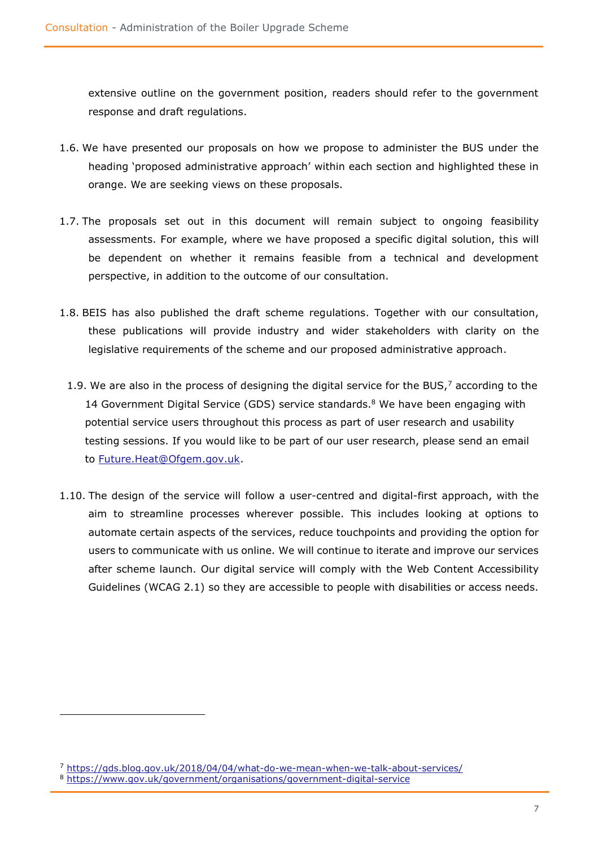extensive outline on the government position, readers should refer to the government response and draft regulations.

- 1.6. We have presented our proposals on how we propose to administer the BUS under the heading 'proposed administrative approach' within each section and highlighted these in orange. We are seeking views on these proposals.
- 1.7. The proposals set out in this document will remain subject to ongoing feasibility assessments. For example, where we have proposed a specific digital solution, this will be dependent on whether it remains feasible from a technical and development perspective, in addition to the outcome of our consultation.
- 1.8. BEIS has also published the draft scheme regulations. Together with our consultation, these publications will provide industry and wider stakeholders with clarity on the legislative requirements of the scheme and our proposed administrative approach.
	- 1.9. We are also in the process of designing the digital service for the BUS, $<sup>7</sup>$  according to the</sup> 14 Government Digital Service (GDS) service standards.<sup>8</sup> We have been engaging with potential service users throughout this process as part of user research and usability testing sessions. If you would like to be part of our user research, please send an email to [Future.Heat@Ofgem.gov.uk.](mailto:Future.Heat@Ofgem.gov.uk)
- 1.10. The design of the service will follow a user-centred and digital-first approach, with the aim to streamline processes wherever possible. This includes looking at options to automate certain aspects of the services, reduce touchpoints and providing the option for users to communicate with us online. We will continue to iterate and improve our services after scheme launch. Our digital service will comply with the Web Content Accessibility Guidelines (WCAG 2.1) so they are accessible to people with disabilities or access needs.

<sup>&</sup>lt;sup>7</sup> <https://gds.blog.gov.uk/2018/04/04/what-do-we-mean-when-we-talk-about-services/>

<sup>8</sup> <https://www.gov.uk/government/organisations/government-digital-service>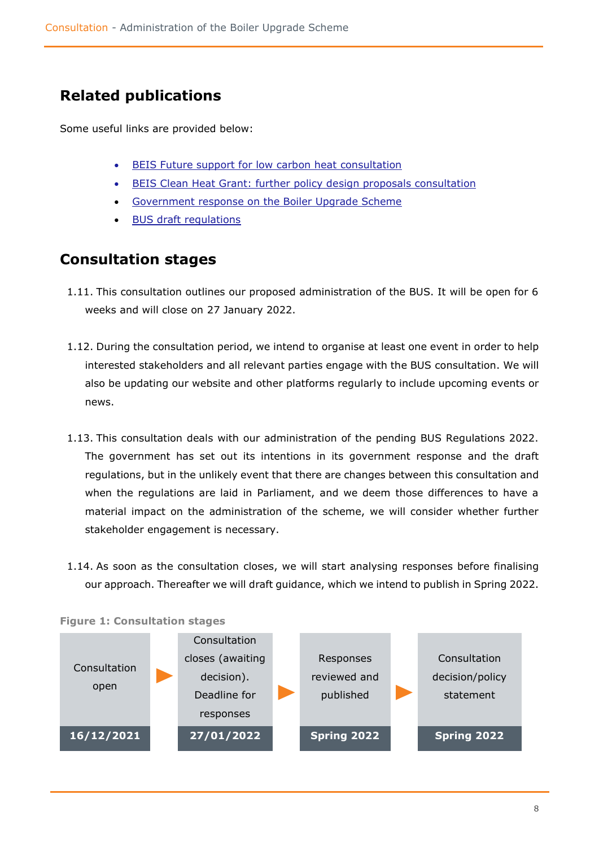# <span id="page-7-0"></span>**Related publications**

Some useful links are provided below:

- **[BEIS Future support for low carbon heat](https://assets.publishing.service.gov.uk/government/uploads/system/uploads/attachment_data/file/888736/future-support-for-low-carbon-heat-consultation.pdf) consultation**
- [BEIS Clean Heat Grant: further policy design proposals](https://www.gov.uk/government/consultations/clean-heat-grant-further-policy-design-proposals) consultation
- [Government response on the Boiler Upgrade Scheme](https://assets.publishing.service.gov.uk/government/uploads/system/uploads/attachment_data/file/1026446/clean-heat-grant-government-response.pdf)
- [BUS draft regulations](https://www.gov.uk/government/consultations/future-support-for-low-carbon-heat)

# <span id="page-7-1"></span>**Consultation stages**

- 1.11. This consultation outlines our proposed administration of the BUS. It will be open for 6 weeks and will close on 27 January 2022.
- 1.12. During the consultation period, we intend to organise at least one event in order to help interested stakeholders and all relevant parties engage with the BUS consultation. We will also be updating our website and other platforms regularly to include upcoming events or news.
- 1.13. This consultation deals with our administration of the pending BUS Regulations 2022. The government has set out its intentions in its government response and the draft regulations, but in the unlikely event that there are changes between this consultation and when the regulations are laid in Parliament, and we deem those differences to have a material impact on the administration of the scheme, we will consider whether further stakeholder engagement is necessary.
- 1.14. As soon as the consultation closes, we will start analysing responses before finalising our approach. Thereafter we will draft guidance, which we intend to publish in Spring 2022.



### **Figure 1: Consultation stages**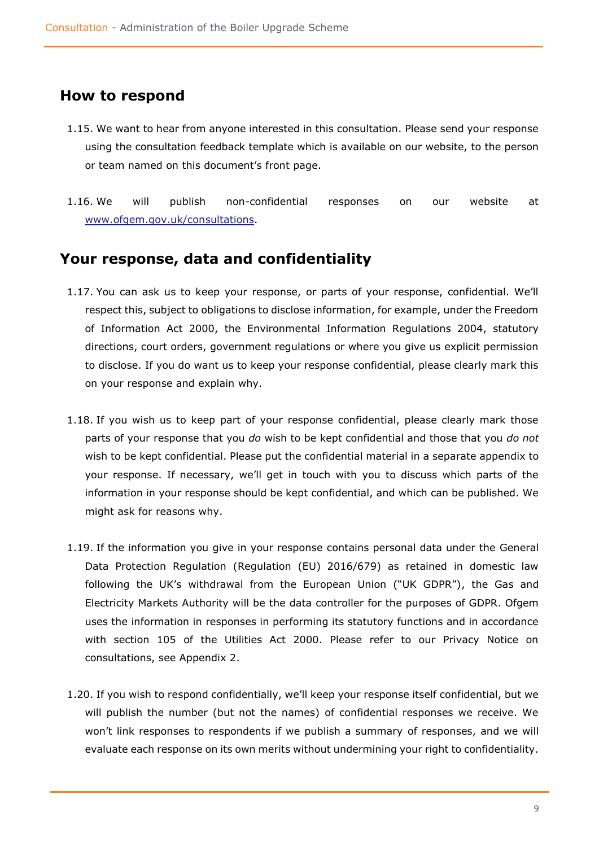### <span id="page-8-0"></span>**How to respond**

- 1.15. We want to hear from anyone interested in this consultation. Please send your response using the consultation feedback template which is available on our website, to the person or team named on this document's front page.
- 1.16. We will publish non-confidential responses on our website at [www.ofgem.gov.uk/consultations.](http://www.ofgem.gov.uk/consultations)

# <span id="page-8-1"></span>**Your response, data and confidentiality**

- 1.17. You can ask us to keep your response, or parts of your response, confidential. We'll respect this, subject to obligations to disclose information, for example, under the Freedom of Information Act 2000, the Environmental Information Regulations 2004, statutory directions, court orders, government regulations or where you give us explicit permission to disclose. If you do want us to keep your response confidential, please clearly mark this on your response and explain why.
- 1.18. If you wish us to keep part of your response confidential, please clearly mark those parts of your response that you *do* wish to be kept confidential and those that you *do not* wish to be kept confidential. Please put the confidential material in a separate appendix to your response. If necessary, we'll get in touch with you to discuss which parts of the information in your response should be kept confidential, and which can be published. We might ask for reasons why.
- 1.19. If the information you give in your response contains personal data under the General Data Protection Regulation (Regulation (EU) 2016/679) as retained in domestic law following the UK's withdrawal from the European Union ("UK GDPR"), the Gas and Electricity Markets Authority will be the data controller for the purposes of GDPR. Ofgem uses the information in responses in performing its statutory functions and in accordance with section 105 of the Utilities Act 2000. Please refer to our Privacy Notice on consultations, see Appendix 2.
- 1.20. If you wish to respond confidentially, we'll keep your response itself confidential, but we will publish the number (but not the names) of confidential responses we receive. We won't link responses to respondents if we publish a summary of responses, and we will evaluate each response on its own merits without undermining your right to confidentiality.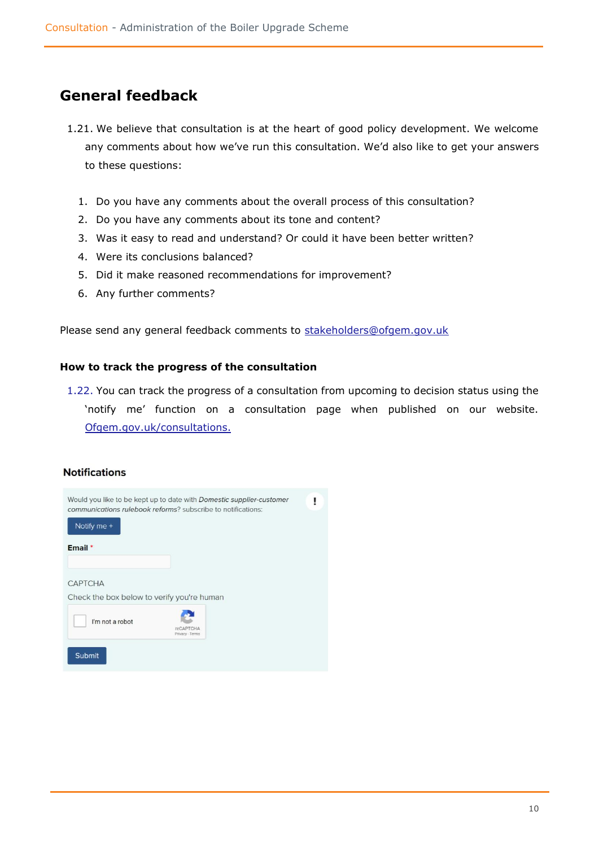# <span id="page-9-0"></span>**General feedback**

- 1.21. We believe that consultation is at the heart of good policy development. We welcome any comments about how we've run this consultation. We'd also like to get your answers to these questions:
	- 1. Do you have any comments about the overall process of this consultation?
	- 2. Do you have any comments about its tone and content?
	- 3. Was it easy to read and understand? Or could it have been better written?
	- 4. Were its conclusions balanced?
	- 5. Did it make reasoned recommendations for improvement?
	- 6. Any further comments?

Please send any general feedback comments to [stakeholders@ofgem.gov.uk](mailto:stakeholders@ofgem.gov.uk)

### **How to track the progress of the consultation**

1.22. You can track the progress of a consultation from upcoming to decision status using the 'notify me' function on a consultation page when published on our website. [Ofgem.gov.uk/consultations.](http://www.ofgem.gov.uk/consultations)

### **Notifications**

| Notify me +                                                  | Would you like to be kept up to date with Domestic supplier-customer<br>communications rulebook reforms? subscribe to notifications: |  |
|--------------------------------------------------------------|--------------------------------------------------------------------------------------------------------------------------------------|--|
| Email *                                                      |                                                                                                                                      |  |
| <b>CAPTCHA</b><br>Check the box below to verify you're human |                                                                                                                                      |  |
| I'm not a robot                                              | <b>reCAPTCHA</b><br>Privacy - Terms                                                                                                  |  |
| <b>Submit</b>                                                |                                                                                                                                      |  |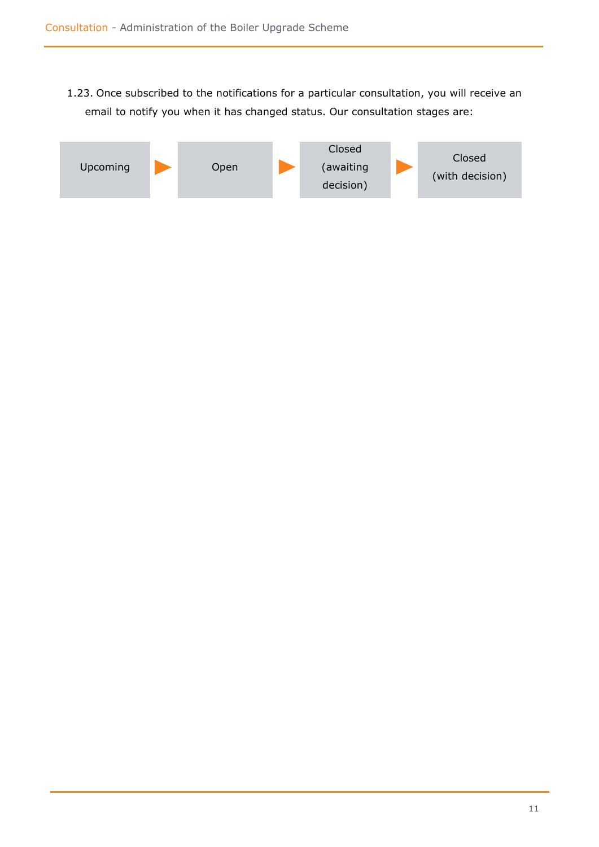1.23. Once subscribed to the notifications for a particular consultation, you will receive an email to notify you when it has changed status. Our consultation stages are:

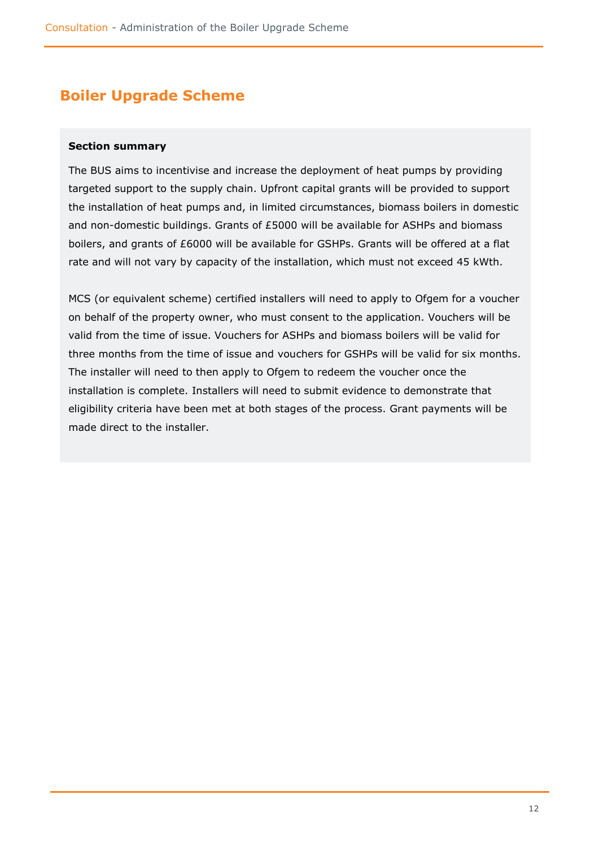# <span id="page-11-0"></span>**Boiler Upgrade Scheme**

### **Section summary**

The BUS aims to incentivise and increase the deployment of heat pumps by providing targeted support to the supply chain. Upfront capital grants will be provided to support the installation of heat pumps and, in limited circumstances, biomass boilers in domestic and non-domestic buildings. Grants of £5000 will be available for ASHPs and biomass boilers, and grants of £6000 will be available for GSHPs. Grants will be offered at a flat rate and will not vary by capacity of the installation, which must not exceed 45 kWth.

MCS (or equivalent scheme) certified installers will need to apply to Ofgem for a voucher on behalf of the property owner, who must consent to the application. Vouchers will be valid from the time of issue. Vouchers for ASHPs and biomass boilers will be valid for three months from the time of issue and vouchers for GSHPs will be valid for six months. The installer will need to then apply to Ofgem to redeem the voucher once the installation is complete. Installers will need to submit evidence to demonstrate that eligibility criteria have been met at both stages of the process. Grant payments will be made direct to the installer.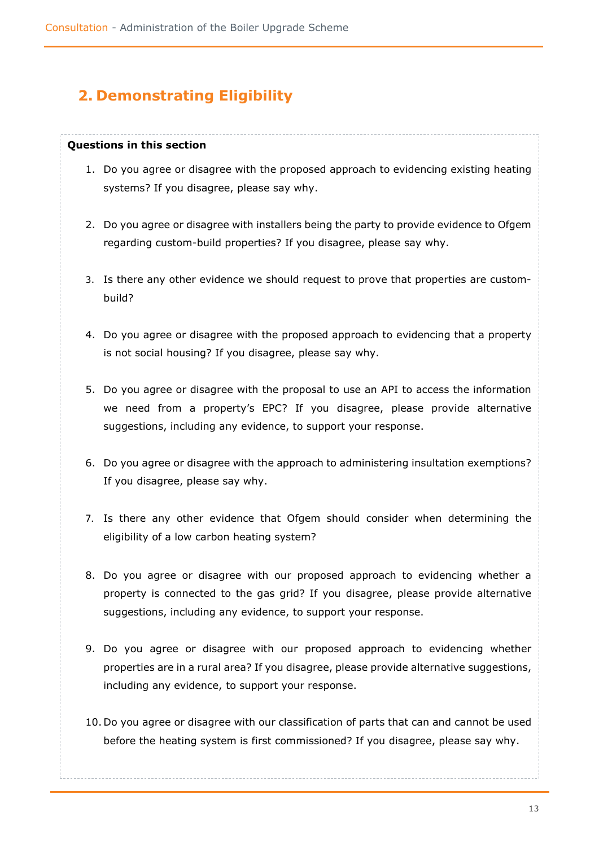# <span id="page-12-0"></span>**2. Demonstrating Eligibility**

### **Questions in this section**

- 1. Do you agree or disagree with the proposed approach to evidencing existing heating systems? If you disagree, please say why.
- 2. Do you agree or disagree with installers being the party to provide evidence to Ofgem regarding custom-build properties? If you disagree, please say why.
- 3. Is there any other evidence we should request to prove that properties are custombuild?
- 4. Do you agree or disagree with the proposed approach to evidencing that a property is not social housing? If you disagree, please say why.
- 5. Do you agree or disagree with the proposal to use an API to access the information we need from a property's EPC? If you disagree, please provide alternative suggestions, including any evidence, to support your response.
- 6. Do you agree or disagree with the approach to administering insultation exemptions? If you disagree, please say why.
- 7. Is there any other evidence that Ofgem should consider when determining the eligibility of a low carbon heating system?
- 8. Do you agree or disagree with our proposed approach to evidencing whether a property is connected to the gas grid? If you disagree, please provide alternative suggestions, including any evidence, to support your response.
- 9. Do you agree or disagree with our proposed approach to evidencing whether properties are in a rural area? If you disagree, please provide alternative suggestions, including any evidence, to support your response.
- 10. Do you agree or disagree with our classification of parts that can and cannot be used before the heating system is first commissioned? If you disagree, please say why.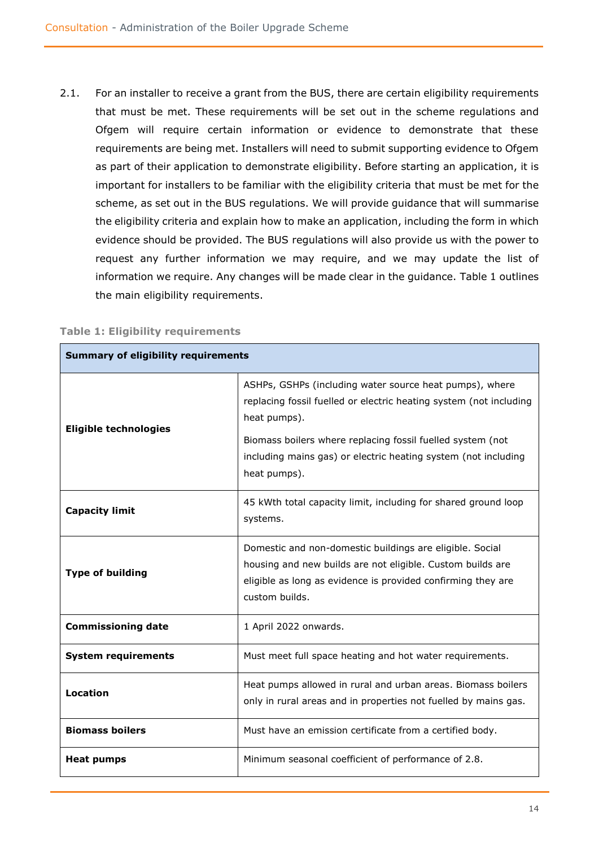2.1. For an installer to receive a grant from the BUS, there are certain eligibility requirements that must be met. These requirements will be set out in the scheme regulations and Ofgem will require certain information or evidence to demonstrate that these requirements are being met. Installers will need to submit supporting evidence to Ofgem as part of their application to demonstrate eligibility. Before starting an application, it is important for installers to be familiar with the eligibility criteria that must be met for the scheme, as set out in the BUS regulations. We will provide guidance that will summarise the eligibility criteria and explain how to make an application, including the form in which evidence should be provided. The BUS regulations will also provide us with the power to request any further information we may require, and we may update the list of information we require. Any changes will be made clear in the guidance. Table 1 outlines the main eligibility requirements.

| <b>Summary of eligibility requirements</b>                                                                                                         |                                                                                                                                                                                                                                                                                               |  |
|----------------------------------------------------------------------------------------------------------------------------------------------------|-----------------------------------------------------------------------------------------------------------------------------------------------------------------------------------------------------------------------------------------------------------------------------------------------|--|
| <b>Eligible technologies</b>                                                                                                                       | ASHPs, GSHPs (including water source heat pumps), where<br>replacing fossil fuelled or electric heating system (not including<br>heat pumps).<br>Biomass boilers where replacing fossil fuelled system (not<br>including mains gas) or electric heating system (not including<br>heat pumps). |  |
| <b>Capacity limit</b>                                                                                                                              | 45 kWth total capacity limit, including for shared ground loop<br>systems.                                                                                                                                                                                                                    |  |
| <b>Type of building</b>                                                                                                                            | Domestic and non-domestic buildings are eligible. Social<br>housing and new builds are not eligible. Custom builds are<br>eligible as long as evidence is provided confirming they are<br>custom builds.                                                                                      |  |
| <b>Commissioning date</b>                                                                                                                          | 1 April 2022 onwards.                                                                                                                                                                                                                                                                         |  |
| <b>System requirements</b>                                                                                                                         | Must meet full space heating and hot water requirements.                                                                                                                                                                                                                                      |  |
| Heat pumps allowed in rural and urban areas. Biomass boilers<br><b>Location</b><br>only in rural areas and in properties not fuelled by mains gas. |                                                                                                                                                                                                                                                                                               |  |
| <b>Biomass boilers</b>                                                                                                                             | Must have an emission certificate from a certified body.                                                                                                                                                                                                                                      |  |
| Minimum seasonal coefficient of performance of 2.8.<br>Heat pumps                                                                                  |                                                                                                                                                                                                                                                                                               |  |

#### **Table 1: Eligibility requirements**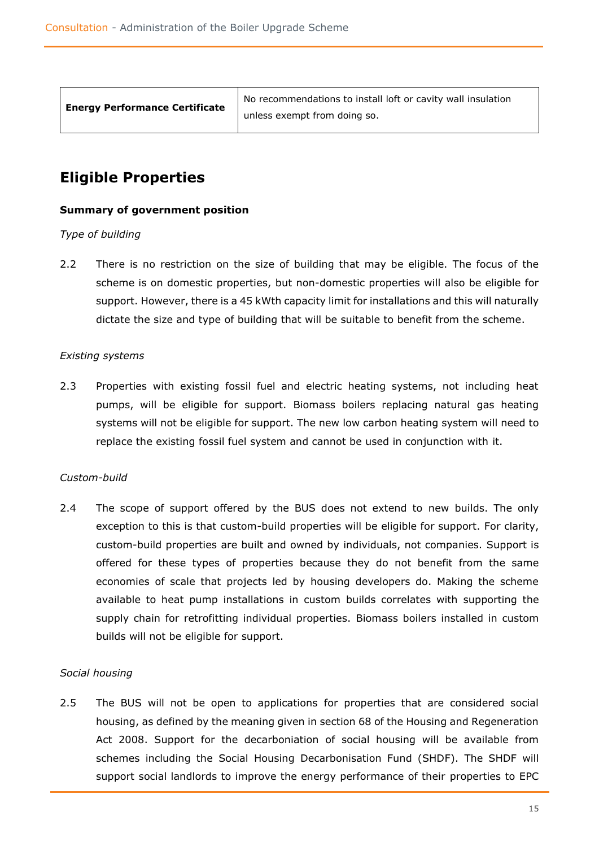| <b>Energy Performance Certificate</b> |  |
|---------------------------------------|--|
|                                       |  |

No recommendations to install loft or cavity wall insulation unless exempt from doing so.

# <span id="page-14-0"></span>**Eligible Properties**

### **Summary of government position**

### *Type of building*

2.2 There is no restriction on the size of building that may be eligible. The focus of the scheme is on domestic properties, but non-domestic properties will also be eligible for support. However, there is a 45 kWth capacity limit for installations and this will naturally dictate the size and type of building that will be suitable to benefit from the scheme.

### *Existing systems*

2.3 Properties with existing fossil fuel and electric heating systems, not including heat pumps, will be eligible for support. Biomass boilers replacing natural gas heating systems will not be eligible for support. The new low carbon heating system will need to replace the existing fossil fuel system and cannot be used in conjunction with it.

### *Custom-build*

2.4 The scope of support offered by the BUS does not extend to new builds. The only exception to this is that custom-build properties will be eligible for support. For clarity, custom-build properties are built and owned by individuals, not companies. Support is offered for these types of properties because they do not benefit from the same economies of scale that projects led by housing developers do. Making the scheme available to heat pump installations in custom builds correlates with supporting the supply chain for retrofitting individual properties. Biomass boilers installed in custom builds will not be eligible for support.

### *Social housing*

2.5 The BUS will not be open to applications for properties that are considered social housing, as defined by the meaning given in section 68 of the Housing and Regeneration Act 2008. Support for the decarboniation of social housing will be available from schemes including the Social Housing Decarbonisation Fund (SHDF). The SHDF will support social landlords to improve the energy performance of their properties to EPC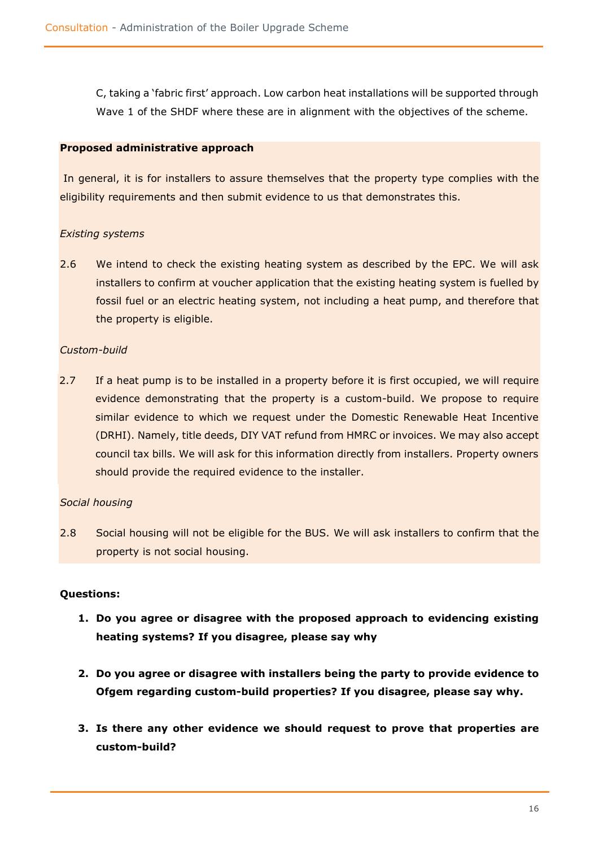C, taking a 'fabric first' approach. Low carbon heat installations will be supported through Wave 1 of the SHDF where these are in alignment with the objectives of the scheme.

### **Proposed administrative approach**

In general, it is for installers to assure themselves that the property type complies with the eligibility requirements and then submit evidence to us that demonstrates this.

### *Existing systems*

2.6 We intend to check the existing heating system as described by the EPC. We will ask installers to confirm at voucher application that the existing heating system is fuelled by fossil fuel or an electric heating system, not including a heat pump, and therefore that the property is eligible.

### *Custom-build*

2.7 If a heat pump is to be installed in a property before it is first occupied, we will require evidence demonstrating that the property is a custom-build. We propose to require similar evidence to which we request under the Domestic Renewable Heat Incentive (DRHI). Namely, title deeds, DIY VAT refund from HMRC or invoices. We may also accept council tax bills. We will ask for this information directly from installers. Property owners should provide the required evidence to the installer.

### *Social housing*

2.8 Social housing will not be eligible for the BUS. We will ask installers to confirm that the property is not social housing.

### **Questions:**

- **1. Do you agree or disagree with the proposed approach to evidencing existing heating systems? If you disagree, please say why**
- **2. Do you agree or disagree with installers being the party to provide evidence to Ofgem regarding custom-build properties? If you disagree, please say why.**
- **3. Is there any other evidence we should request to prove that properties are custom-build?**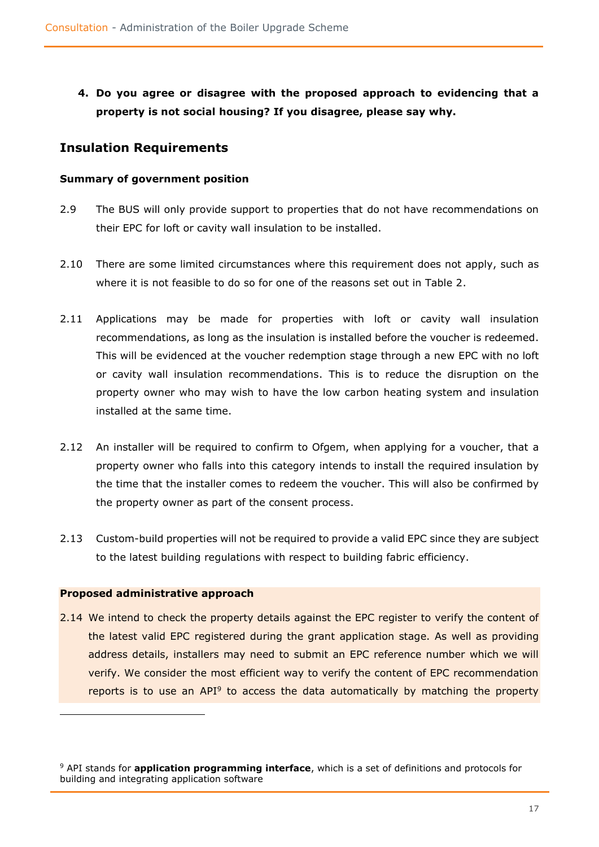**4. Do you agree or disagree with the proposed approach to evidencing that a property is not social housing? If you disagree, please say why.**

### <span id="page-16-0"></span>**Insulation Requirements**

### **Summary of government position**

- 2.9 The BUS will only provide support to properties that do not have recommendations on their EPC for loft or cavity wall insulation to be installed.
- 2.10 There are some limited circumstances where this requirement does not apply, such as where it is not feasible to do so for one of the reasons set out in Table 2.
- 2.11 Applications may be made for properties with loft or cavity wall insulation recommendations, as long as the insulation is installed before the voucher is redeemed. This will be evidenced at the voucher redemption stage through a new EPC with no loft or cavity wall insulation recommendations. This is to reduce the disruption on the property owner who may wish to have the low carbon heating system and insulation installed at the same time.
- 2.12 An installer will be required to confirm to Ofgem, when applying for a voucher, that a property owner who falls into this category intends to install the required insulation by the time that the installer comes to redeem the voucher. This will also be confirmed by the property owner as part of the consent process.
- 2.13 Custom-build properties will not be required to provide a valid EPC since they are subject to the latest building regulations with respect to building fabric efficiency.

### **Proposed administrative approach**

2.14 We intend to check the property details against the EPC register to verify the content of the latest valid EPC registered during the grant application stage. As well as providing address details, installers may need to submit an EPC reference number which we will verify. We consider the most efficient way to verify the content of EPC recommendation reports is to use an API<sup>9</sup> to access the data automatically by matching the property

<sup>9</sup> API stands for **application programming interface**, which is a set of definitions and protocols for building and integrating application software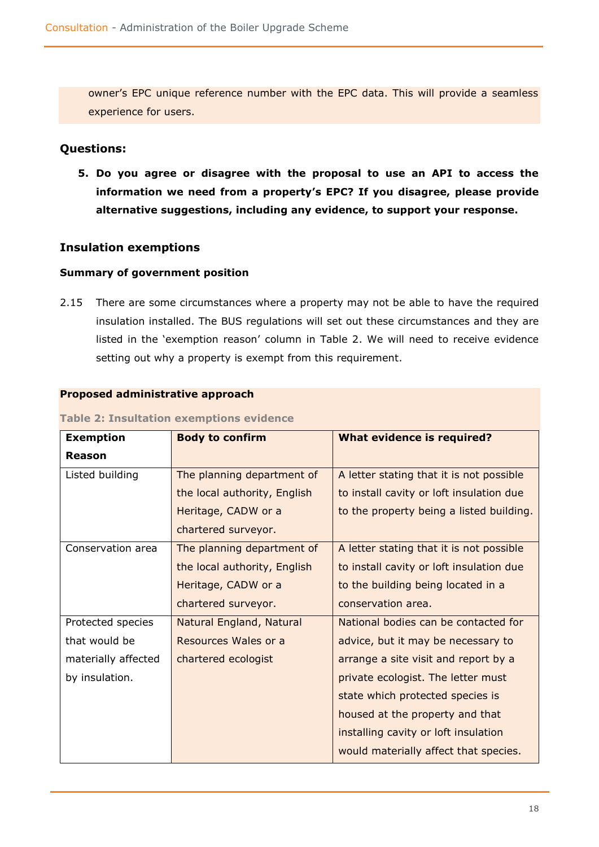owner's EPC unique reference number with the EPC data. This will provide a seamless experience for users.

### **Questions:**

**5. Do you agree or disagree with the proposal to use an API to access the information we need from a property's EPC? If you disagree, please provide alternative suggestions, including any evidence, to support your response.**

### **Insulation exemptions**

### **Summary of government position**

2.15 There are some circumstances where a property may not be able to have the required insulation installed. The BUS regulations will set out these circumstances and they are listed in the 'exemption reason' column in Table 2. We will need to receive evidence setting out why a property is exempt from this requirement.

### **Proposed administrative approach**

| <b>Exemption</b>    | <b>Body to confirm</b>       | <b>What evidence is required?</b>        |
|---------------------|------------------------------|------------------------------------------|
| <b>Reason</b>       |                              |                                          |
| Listed building     | The planning department of   | A letter stating that it is not possible |
|                     | the local authority, English | to install cavity or loft insulation due |
|                     | Heritage, CADW or a          | to the property being a listed building. |
|                     | chartered surveyor.          |                                          |
| Conservation area   | The planning department of   | A letter stating that it is not possible |
|                     | the local authority, English | to install cavity or loft insulation due |
|                     | Heritage, CADW or a          | to the building being located in a       |
|                     | chartered surveyor.          | conservation area.                       |
| Protected species   | Natural England, Natural     | National bodies can be contacted for     |
| that would be       | Resources Wales or a         | advice, but it may be necessary to       |
| materially affected | chartered ecologist          | arrange a site visit and report by a     |
| by insulation.      |                              | private ecologist. The letter must       |
|                     |                              | state which protected species is         |
|                     |                              | housed at the property and that          |
|                     |                              | installing cavity or loft insulation     |
|                     |                              | would materially affect that species.    |

### **Table 2: Insultation exemptions evidence**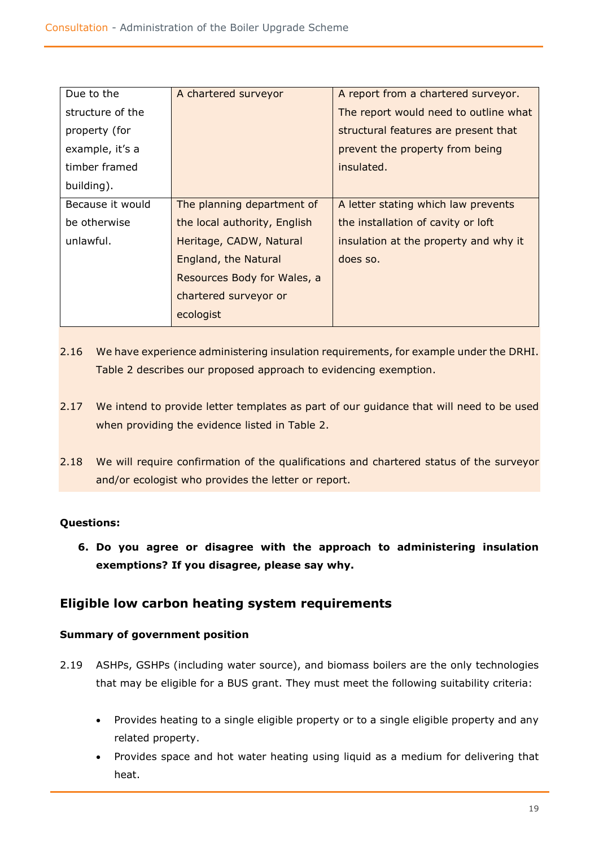| Due to the       | A chartered surveyor         | A report from a chartered surveyor.   |
|------------------|------------------------------|---------------------------------------|
| structure of the |                              | The report would need to outline what |
| property (for    |                              | structural features are present that  |
| example, it's a  |                              | prevent the property from being       |
| timber framed    |                              | insulated.                            |
| building).       |                              |                                       |
| Because it would | The planning department of   | A letter stating which law prevents   |
| be otherwise     | the local authority, English | the installation of cavity or loft    |
| unlawful.        | Heritage, CADW, Natural      | insulation at the property and why it |
|                  | England, the Natural         | does so.                              |
|                  | Resources Body for Wales, a  |                                       |
|                  | chartered surveyor or        |                                       |
|                  | ecologist                    |                                       |

- 2.16 We have experience administering insulation requirements, for example under the DRHI. Table 2 describes our proposed approach to evidencing exemption.
- 2.17 We intend to provide letter templates as part of our guidance that will need to be used when providing the evidence listed in Table 2.
- 2.18 We will require confirmation of the qualifications and chartered status of the surveyor and/or ecologist who provides the letter or report.

### **Questions:**

**6. Do you agree or disagree with the approach to administering insulation exemptions? If you disagree, please say why.**

### <span id="page-18-0"></span>**Eligible low carbon heating system requirements**

### **Summary of government position**

- 2.19 ASHPs, GSHPs (including water source), and biomass boilers are the only technologies that may be eligible for a BUS grant. They must meet the following suitability criteria:
	- Provides heating to a single eligible property or to a single eligible property and any related property.
	- Provides space and hot water heating using liquid as a medium for delivering that heat.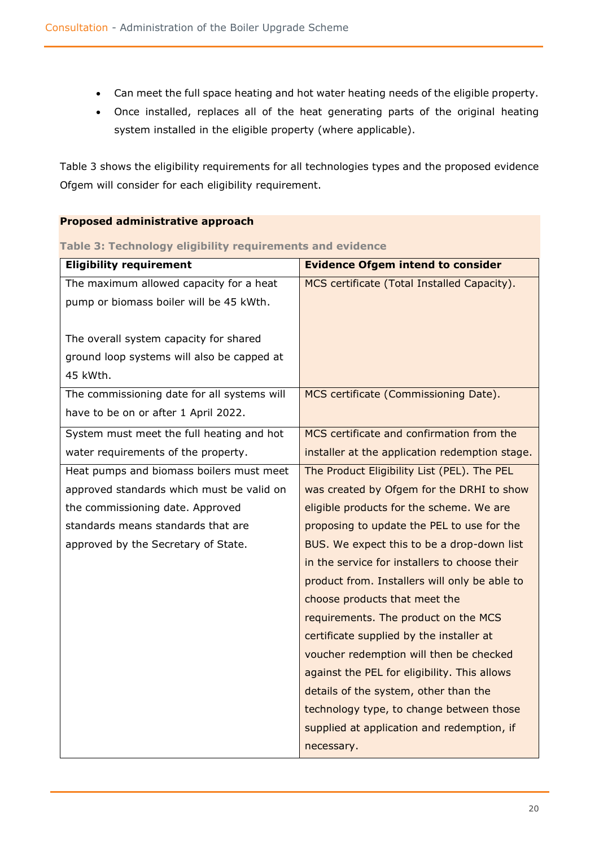- Can meet the full space heating and hot water heating needs of the eligible property.
- Once installed, replaces all of the heat generating parts of the original heating system installed in the eligible property (where applicable).

Table 3 shows the eligibility requirements for all technologies types and the proposed evidence Ofgem will consider for each eligibility requirement.

### **Proposed administrative approach**

**Table 3: Technology eligibility requirements and evidence**

| <b>Eligibility requirement</b>              | <b>Evidence Ofgem intend to consider</b>       |
|---------------------------------------------|------------------------------------------------|
| The maximum allowed capacity for a heat     | MCS certificate (Total Installed Capacity).    |
| pump or biomass boiler will be 45 kWth.     |                                                |
|                                             |                                                |
| The overall system capacity for shared      |                                                |
| ground loop systems will also be capped at  |                                                |
| 45 kWth.                                    |                                                |
| The commissioning date for all systems will | MCS certificate (Commissioning Date).          |
| have to be on or after 1 April 2022.        |                                                |
| System must meet the full heating and hot   | MCS certificate and confirmation from the      |
| water requirements of the property.         | installer at the application redemption stage. |
| Heat pumps and biomass boilers must meet    | The Product Eligibility List (PEL). The PEL    |
| approved standards which must be valid on   | was created by Ofgem for the DRHI to show      |
| the commissioning date. Approved            | eligible products for the scheme. We are       |
| standards means standards that are          | proposing to update the PEL to use for the     |
| approved by the Secretary of State.         | BUS. We expect this to be a drop-down list     |
|                                             | in the service for installers to choose their  |
|                                             | product from. Installers will only be able to  |
|                                             | choose products that meet the                  |
|                                             | requirements. The product on the MCS           |
|                                             | certificate supplied by the installer at       |
|                                             | voucher redemption will then be checked        |
|                                             | against the PEL for eligibility. This allows   |
|                                             | details of the system, other than the          |
|                                             | technology type, to change between those       |
|                                             | supplied at application and redemption, if     |
|                                             | necessary.                                     |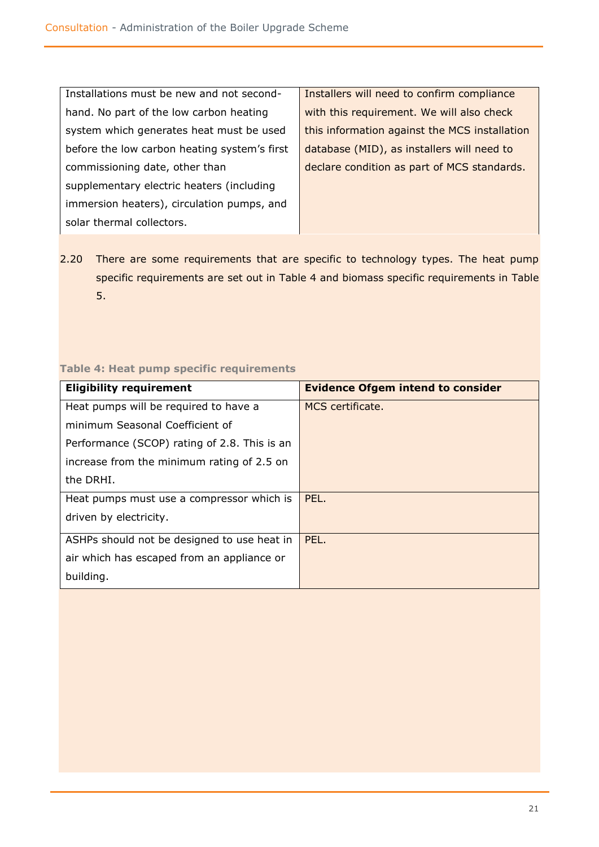| Installations must be new and not second-    | Installers will need to confirm compliance    |  |
|----------------------------------------------|-----------------------------------------------|--|
| hand. No part of the low carbon heating      | with this requirement. We will also check     |  |
| system which generates heat must be used     | this information against the MCS installation |  |
| before the low carbon heating system's first | database (MID), as installers will need to    |  |
| commissioning date, other than               | declare condition as part of MCS standards.   |  |
| supplementary electric heaters (including    |                                               |  |
| immersion heaters), circulation pumps, and   |                                               |  |
| solar thermal collectors.                    |                                               |  |

2.20 There are some requirements that are specific to technology types. The heat pump specific requirements are set out in Table 4 and biomass specific requirements in Table 5.

### **Table 4: Heat pump specific requirements**

| <b>Eligibility requirement</b>               | <b>Evidence Ofgem intend to consider</b> |
|----------------------------------------------|------------------------------------------|
| Heat pumps will be required to have a        | MCS certificate.                         |
| minimum Seasonal Coefficient of              |                                          |
| Performance (SCOP) rating of 2.8. This is an |                                          |
| increase from the minimum rating of 2.5 on   |                                          |
| the DRHI.                                    |                                          |
| Heat pumps must use a compressor which is    | PEL.                                     |
| driven by electricity.                       |                                          |
| ASHPs should not be designed to use heat in  | PEL.                                     |
| air which has escaped from an appliance or   |                                          |
| building.                                    |                                          |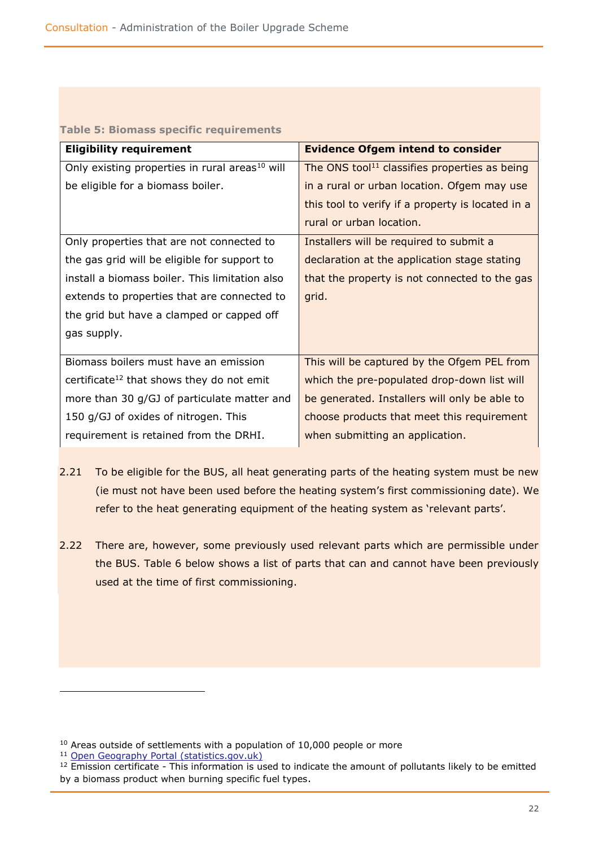| <u> Table 5: Bioniass Specific Tequilements</u>            |                                                           |  |  |
|------------------------------------------------------------|-----------------------------------------------------------|--|--|
| <b>Eligibility requirement</b>                             | <b>Evidence Ofgem intend to consider</b>                  |  |  |
| Only existing properties in rural areas <sup>10</sup> will | The ONS tool <sup>11</sup> classifies properties as being |  |  |
| be eligible for a biomass boiler.                          | in a rural or urban location. Ofgem may use               |  |  |
|                                                            | this tool to verify if a property is located in a         |  |  |
|                                                            | rural or urban location.                                  |  |  |
| Only properties that are not connected to                  | Installers will be required to submit a                   |  |  |
| the gas grid will be eligible for support to               | declaration at the application stage stating              |  |  |
| install a biomass boiler. This limitation also             | that the property is not connected to the gas             |  |  |
| extends to properties that are connected to                | grid.                                                     |  |  |
| the grid but have a clamped or capped off                  |                                                           |  |  |
| gas supply.                                                |                                                           |  |  |
|                                                            |                                                           |  |  |
| Biomass boilers must have an emission                      | This will be captured by the Ofgem PEL from               |  |  |
| certificate <sup>12</sup> that shows they do not emit      | which the pre-populated drop-down list will               |  |  |
| more than 30 g/GJ of particulate matter and                | be generated. Installers will only be able to             |  |  |
| 150 g/GJ of oxides of nitrogen. This                       | choose products that meet this requirement                |  |  |
| requirement is retained from the DRHI.                     | when submitting an application.                           |  |  |

### **Table 5: Biomass specific requirements**

- 2.21 To be eligible for the BUS, all heat generating parts of the heating system must be new (ie must not have been used before the heating system's first commissioning date). We refer to the heat generating equipment of the heating system as 'relevant parts'.
- 2.22 There are, however, some previously used relevant parts which are permissible under the BUS. Table 6 below shows a list of parts that can and cannot have been previously used at the time of first commissioning.

 $10$  Areas outside of settlements with a population of 10,000 people or more

<sup>&</sup>lt;sup>11</sup> [Open Geography Portal \(statistics.gov.uk\)](https://geoportal.statistics.gov.uk/)

<sup>&</sup>lt;sup>12</sup> Emission certificate - This information is used to indicate the amount of pollutants likely to be emitted by a biomass product when burning specific fuel types.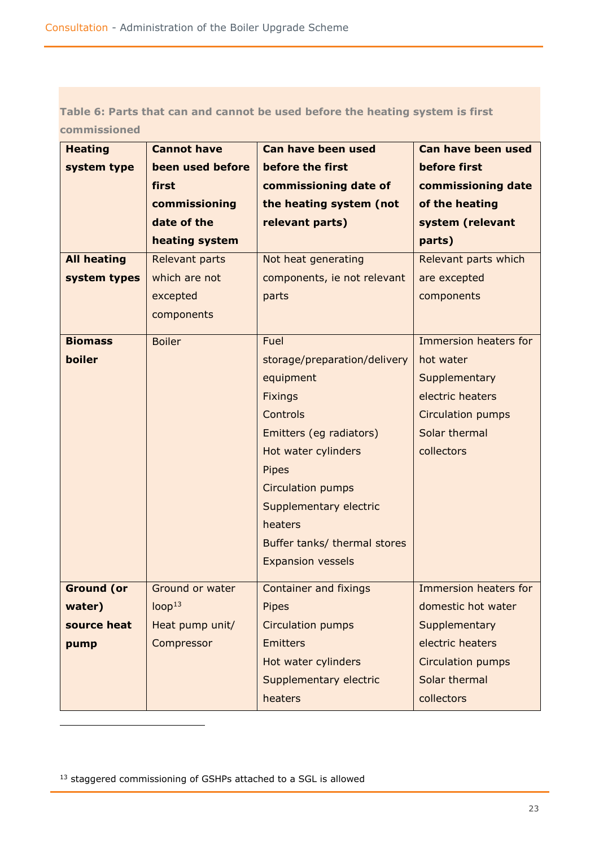### **Table 6: Parts that can and cannot be used before the heating system is first commissioned**

| <b>Heating</b>     | <b>Cannot have</b>    | Can have been used           | Can have been used       |
|--------------------|-----------------------|------------------------------|--------------------------|
| system type        | been used before      | before the first             | before first             |
|                    | first                 | commissioning date of        | commissioning date       |
|                    | commissioning         | the heating system (not      | of the heating           |
|                    | date of the           | relevant parts)              | system (relevant         |
|                    | heating system        |                              | parts)                   |
| <b>All heating</b> | <b>Relevant parts</b> | Not heat generating          | Relevant parts which     |
| system types       | which are not         | components, ie not relevant  | are excepted             |
|                    | excepted              | parts                        | components               |
|                    | components            |                              |                          |
| <b>Biomass</b>     | <b>Boiler</b>         | Fuel                         | Immersion heaters for    |
| boiler             |                       | storage/preparation/delivery | hot water                |
|                    |                       | equipment                    | Supplementary            |
|                    |                       | <b>Fixings</b>               | electric heaters         |
|                    |                       | Controls                     | <b>Circulation pumps</b> |
|                    |                       | Emitters (eg radiators)      | Solar thermal            |
|                    |                       | Hot water cylinders          | collectors               |
|                    |                       | <b>Pipes</b>                 |                          |
|                    |                       | Circulation pumps            |                          |
|                    |                       | Supplementary electric       |                          |
|                    |                       | heaters                      |                          |
|                    |                       | Buffer tanks/ thermal stores |                          |
|                    |                       | <b>Expansion vessels</b>     |                          |
|                    |                       |                              |                          |
| <b>Ground (or</b>  | Ground or water       | <b>Container and fixings</b> | Immersion heaters for    |
| water)             | loop <sup>13</sup>    | <b>Pipes</b>                 | domestic hot water       |
| source heat        | Heat pump unit/       | Circulation pumps            | Supplementary            |
| pump               | Compressor            | <b>Emitters</b>              | electric heaters         |
|                    |                       | Hot water cylinders          | Circulation pumps        |
|                    |                       | Supplementary electric       | Solar thermal            |
|                    |                       | heaters                      | collectors               |

13 staggered commissioning of GSHPs attached to a SGL is allowed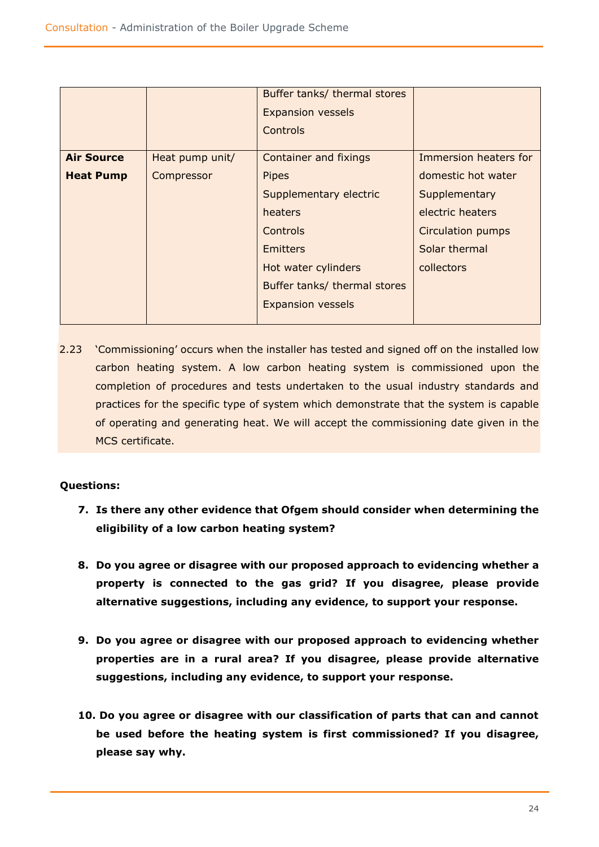|                   |                 | Buffer tanks/ thermal stores |                          |
|-------------------|-----------------|------------------------------|--------------------------|
|                   |                 | <b>Expansion vessels</b>     |                          |
|                   |                 | Controls                     |                          |
| <b>Air Source</b> | Heat pump unit/ | <b>Container and fixings</b> | Immersion heaters for    |
| <b>Heat Pump</b>  | Compressor      | <b>Pipes</b>                 | domestic hot water       |
|                   |                 | Supplementary electric       | Supplementary            |
|                   |                 | heaters                      | electric heaters         |
|                   |                 | <b>Controls</b>              | <b>Circulation pumps</b> |
|                   |                 | <b>Emitters</b>              | Solar thermal            |
|                   |                 | Hot water cylinders          | collectors               |
|                   |                 | Buffer tanks/ thermal stores |                          |
|                   |                 | <b>Expansion vessels</b>     |                          |

2.23 'Commissioning' occurs when the installer has tested and signed off on the installed low carbon heating system. A low carbon heating system is commissioned upon the completion of procedures and tests undertaken to the usual industry standards and practices for the specific type of system which demonstrate that the system is capable of operating and generating heat. We will accept the commissioning date given in the MCS certificate.

### **Questions:**

- **7. Is there any other evidence that Ofgem should consider when determining the eligibility of a low carbon heating system?**
- **8. Do you agree or disagree with our proposed approach to evidencing whether a property is connected to the gas grid? If you disagree, please provide alternative suggestions, including any evidence, to support your response.**
- **9. Do you agree or disagree with our proposed approach to evidencing whether properties are in a rural area? If you disagree, please provide alternative suggestions, including any evidence, to support your response.**
- **10. Do you agree or disagree with our classification of parts that can and cannot be used before the heating system is first commissioned? If you disagree, please say why.**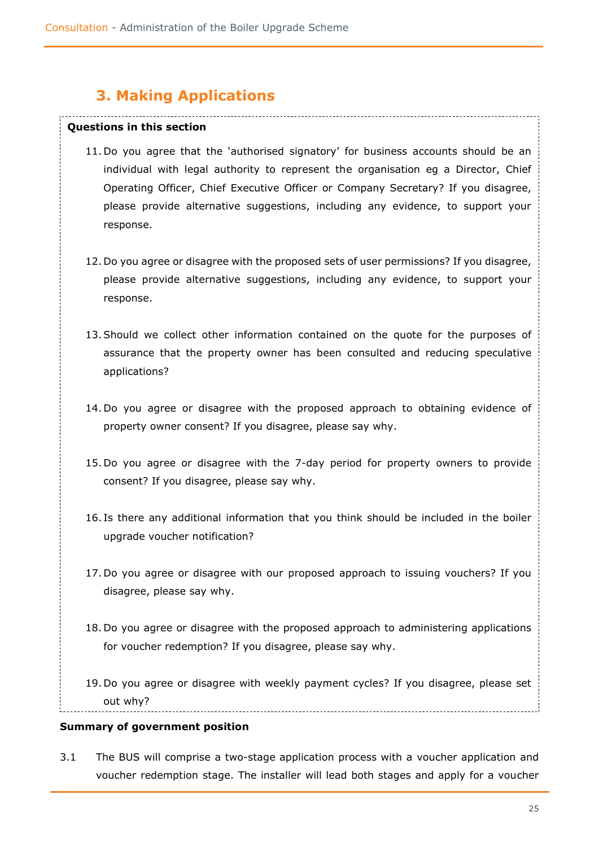# **3. Making Applications**

#### <span id="page-24-0"></span>**Questions in this section**

- 11. Do you agree that the 'authorised signatory' for business accounts should be an individual with legal authority to represent the organisation eg a Director, Chief Operating Officer, Chief Executive Officer or Company Secretary? If you disagree, please provide alternative suggestions, including any evidence, to support your response.
- 12. Do you agree or disagree with the proposed sets of user permissions? If you disagree, please provide alternative suggestions, including any evidence, to support your response.
- 13.Should we collect other information contained on the quote for the purposes of assurance that the property owner has been consulted and reducing speculative applications?
- 14. Do you agree or disagree with the proposed approach to obtaining evidence of property owner consent? If you disagree, please say why.
- 15. Do you agree or disagree with the 7-day period for property owners to provide consent? If you disagree, please say why.
- 16. Is there any additional information that you think should be included in the boiler upgrade voucher notification?
- 17. Do you agree or disagree with our proposed approach to issuing vouchers? If you disagree, please say why.
- 18. Do you agree or disagree with the proposed approach to administering applications for voucher redemption? If you disagree, please say why.
- 19. Do you agree or disagree with weekly payment cycles? If you disagree, please set out why?

### **Summary of government position**

3.1 The BUS will comprise a two-stage application process with a voucher application and voucher redemption stage. The installer will lead both stages and apply for a voucher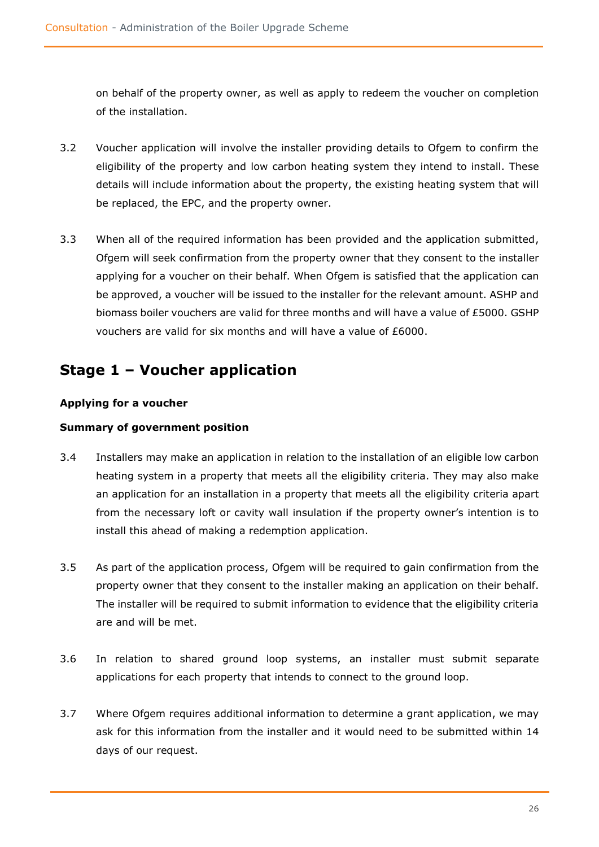on behalf of the property owner, as well as apply to redeem the voucher on completion of the installation.

- 3.2 Voucher application will involve the installer providing details to Ofgem to confirm the eligibility of the property and low carbon heating system they intend to install. These details will include information about the property, the existing heating system that will be replaced, the EPC, and the property owner.
- 3.3 When all of the required information has been provided and the application submitted, Ofgem will seek confirmation from the property owner that they consent to the installer applying for a voucher on their behalf. When Ofgem is satisfied that the application can be approved, a voucher will be issued to the installer for the relevant amount. ASHP and biomass boiler vouchers are valid for three months and will have a value of £5000. GSHP vouchers are valid for six months and will have a value of £6000.

# <span id="page-25-0"></span>**Stage 1 – Voucher application**

### **Applying for a voucher**

### **Summary of government position**

- 3.4 Installers may make an application in relation to the installation of an eligible low carbon heating system in a property that meets all the eligibility criteria. They may also make an application for an installation in a property that meets all the eligibility criteria apart from the necessary loft or cavity wall insulation if the property owner's intention is to install this ahead of making a redemption application.
- 3.5 As part of the application process, Ofgem will be required to gain confirmation from the property owner that they consent to the installer making an application on their behalf. The installer will be required to submit information to evidence that the eligibility criteria are and will be met.
- 3.6 In relation to shared ground loop systems, an installer must submit separate applications for each property that intends to connect to the ground loop.
- 3.7 Where Ofgem requires additional information to determine a grant application, we may ask for this information from the installer and it would need to be submitted within 14 days of our request.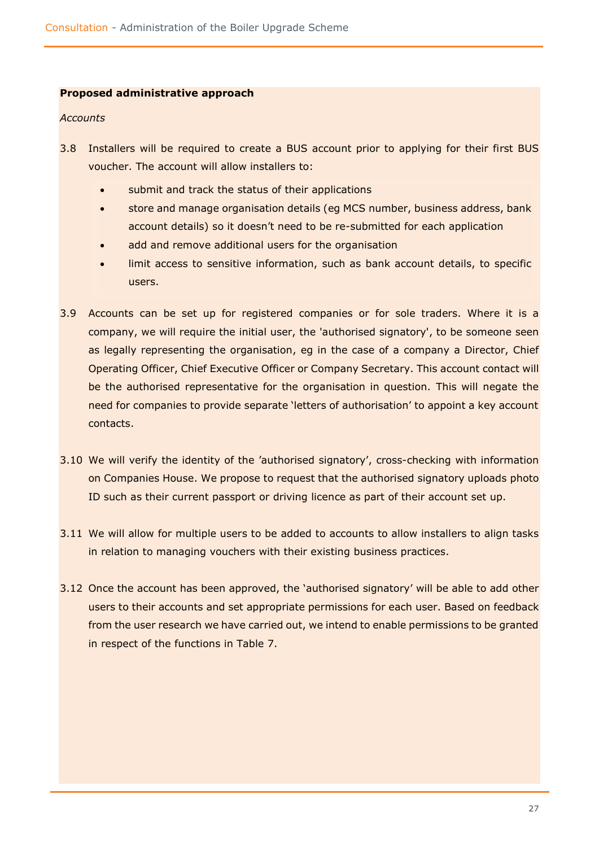### **Proposed administrative approach**

#### *Accounts*

- 3.8 Installers will be required to create a BUS account prior to applying for their first BUS voucher. The account will allow installers to:
	- submit and track the status of their applications
	- store and manage organisation details (eg MCS number, business address, bank account details) so it doesn't need to be re-submitted for each application
	- add and remove additional users for the organisation
	- limit access to sensitive information, such as bank account details, to specific users.
- 3.9 Accounts can be set up for registered companies or for sole traders. Where it is a company, we will require the initial user, the 'authorised signatory', to be someone seen as legally representing the organisation, eg in the case of a company a Director, Chief Operating Officer, Chief Executive Officer or Company Secretary. This account contact will be the authorised representative for the organisation in question. This will negate the need for companies to provide separate 'letters of authorisation' to appoint a key account contacts.
- 3.10 We will verify the identity of the 'authorised signatory', cross-checking with information on Companies House. We propose to request that the authorised signatory uploads photo ID such as their current passport or driving licence as part of their account set up.
- 3.11 We will allow for multiple users to be added to accounts to allow installers to align tasks in relation to managing vouchers with their existing business practices.
- 3.12 Once the account has been approved, the 'authorised signatory' will be able to add other users to their accounts and set appropriate permissions for each user. Based on feedback from the user research we have carried out, we intend to enable permissions to be granted in respect of the functions in Table 7.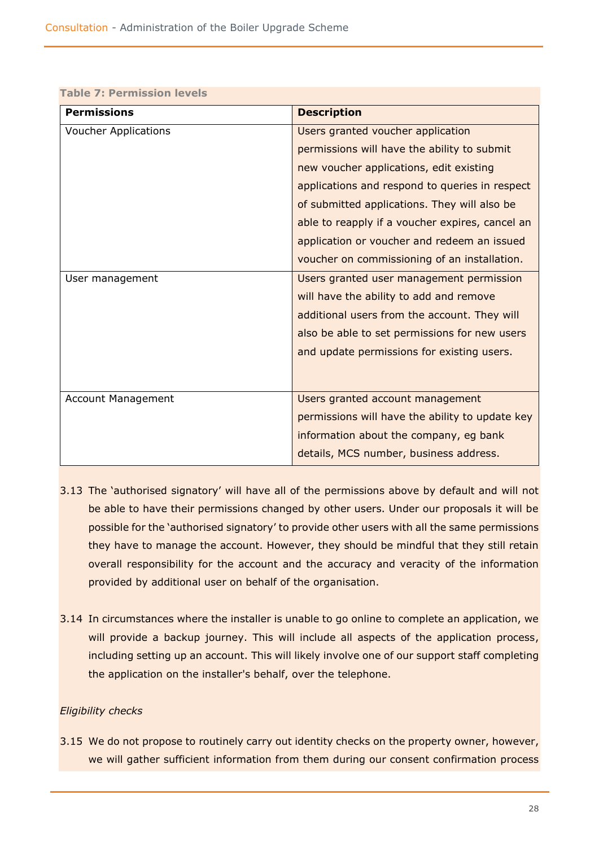| Table 7: Permission levels  |                                                 |  |  |
|-----------------------------|-------------------------------------------------|--|--|
| <b>Permissions</b>          | <b>Description</b>                              |  |  |
| <b>Voucher Applications</b> | Users granted voucher application               |  |  |
|                             | permissions will have the ability to submit     |  |  |
|                             | new voucher applications, edit existing         |  |  |
|                             | applications and respond to queries in respect  |  |  |
|                             | of submitted applications. They will also be    |  |  |
|                             | able to reapply if a voucher expires, cancel an |  |  |
|                             | application or voucher and redeem an issued     |  |  |
|                             | voucher on commissioning of an installation.    |  |  |
| User management             | Users granted user management permission        |  |  |
|                             | will have the ability to add and remove         |  |  |
|                             | additional users from the account. They will    |  |  |
|                             | also be able to set permissions for new users   |  |  |
|                             | and update permissions for existing users.      |  |  |
|                             |                                                 |  |  |
| <b>Account Management</b>   | Users granted account management                |  |  |
|                             | permissions will have the ability to update key |  |  |
|                             | information about the company, eg bank          |  |  |
|                             | details, MCS number, business address.          |  |  |

#### **Table 7: Permission levels**

- 3.13 The 'authorised signatory' will have all of the permissions above by default and will not be able to have their permissions changed by other users. Under our proposals it will be possible for the 'authorised signatory' to provide other users with all the same permissions they have to manage the account. However, they should be mindful that they still retain overall responsibility for the account and the accuracy and veracity of the information provided by additional user on behalf of the organisation.
- 3.14 In circumstances where the installer is unable to go online to complete an application, we will provide a backup journey. This will include all aspects of the application process, including setting up an account. This will likely involve one of our support staff completing the application on the installer's behalf, over the telephone.

### *Eligibility checks*

3.15 We do not propose to routinely carry out identity checks on the property owner, however, we will gather sufficient information from them during our consent confirmation process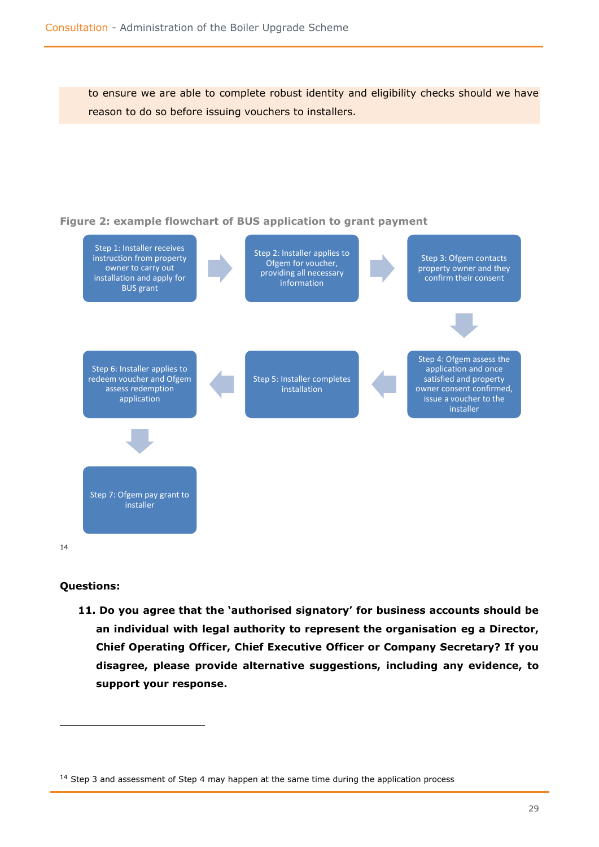to ensure we are able to complete robust identity and eligibility checks should we have reason to do so before issuing vouchers to installers.



### **Questions:**

**11. Do you agree that the 'authorised signatory' for business accounts should be an individual with legal authority to represent the organisation eg a Director, Chief Operating Officer, Chief Executive Officer or Company Secretary? If you disagree, please provide alternative suggestions, including any evidence, to support your response.**

 $14$  Step 3 and assessment of Step 4 may happen at the same time during the application process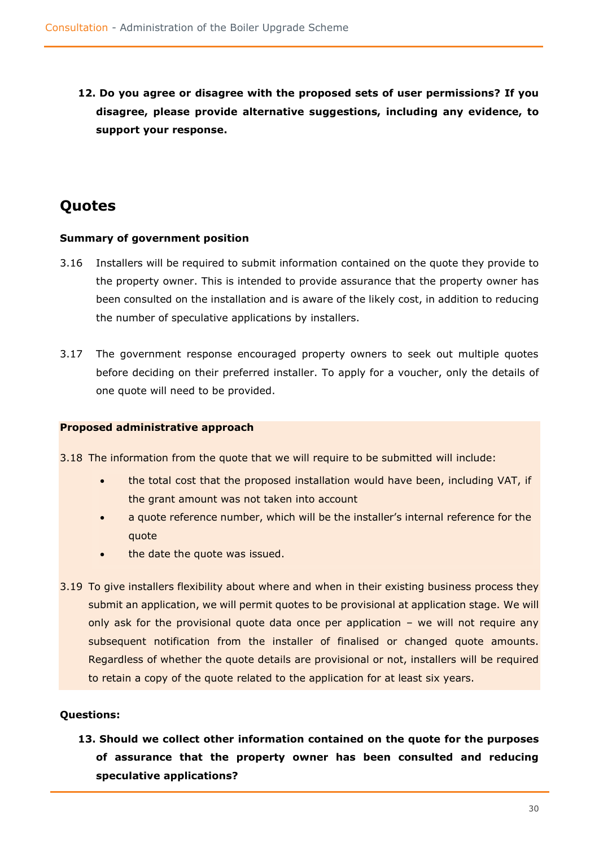**12. Do you agree or disagree with the proposed sets of user permissions? If you disagree, please provide alternative suggestions, including any evidence, to support your response.**

# <span id="page-29-0"></span>**Quotes**

### **Summary of government position**

- 3.16 Installers will be required to submit information contained on the quote they provide to the property owner. This is intended to provide assurance that the property owner has been consulted on the installation and is aware of the likely cost, in addition to reducing the number of speculative applications by installers.
- 3.17 The government response encouraged property owners to seek out multiple quotes before deciding on their preferred installer. To apply for a voucher, only the details of one quote will need to be provided.

### **Proposed administrative approach**

3.18 The information from the quote that we will require to be submitted will include:

- the total cost that the proposed installation would have been, including VAT, if the grant amount was not taken into account
- a quote reference number, which will be the installer's internal reference for the quote
- the date the quote was issued.
- 3.19 To give installers flexibility about where and when in their existing business process they submit an application, we will permit quotes to be provisional at application stage. We will only ask for the provisional quote data once per application – we will not require any subsequent notification from the installer of finalised or changed quote amounts. Regardless of whether the quote details are provisional or not, installers will be required to retain a copy of the quote related to the application for at least six years.

### **Questions:**

**13. Should we collect other information contained on the quote for the purposes of assurance that the property owner has been consulted and reducing speculative applications?**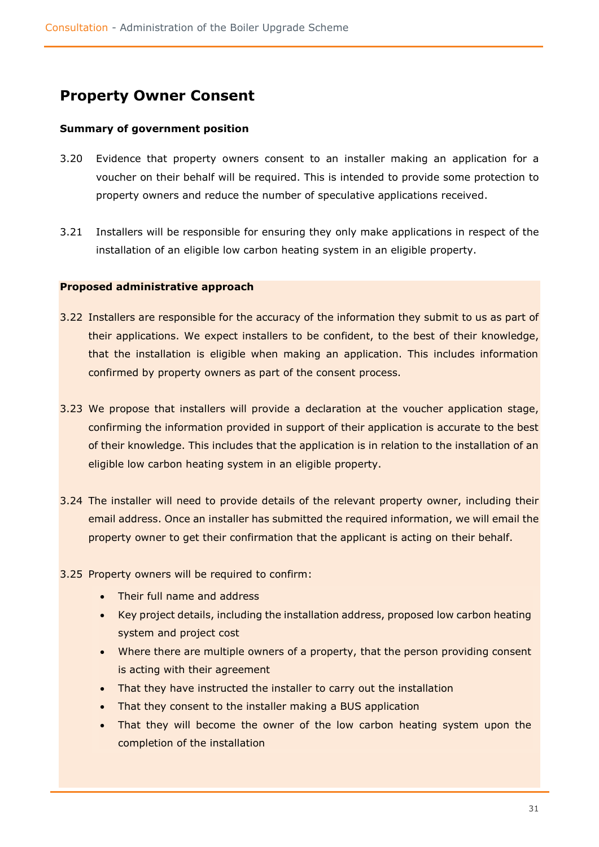# <span id="page-30-0"></span>**Property Owner Consent**

### **Summary of government position**

- 3.20 Evidence that property owners consent to an installer making an application for a voucher on their behalf will be required. This is intended to provide some protection to property owners and reduce the number of speculative applications received.
- 3.21 Installers will be responsible for ensuring they only make applications in respect of the installation of an eligible low carbon heating system in an eligible property.

### **Proposed administrative approach**

- 3.22 Installers are responsible for the accuracy of the information they submit to us as part of their applications. We expect installers to be confident, to the best of their knowledge, that the installation is eligible when making an application. This includes information confirmed by property owners as part of the consent process.
- 3.23 We propose that installers will provide a declaration at the voucher application stage, confirming the information provided in support of their application is accurate to the best of their knowledge. This includes that the application is in relation to the installation of an eligible low carbon heating system in an eligible property.
- 3.24 The installer will need to provide details of the relevant property owner, including their email address. Once an installer has submitted the required information, we will email the property owner to get their confirmation that the applicant is acting on their behalf.
- 3.25 Property owners will be required to confirm:
	- Their full name and address
	- Key project details, including the installation address, proposed low carbon heating system and project cost
	- Where there are multiple owners of a property, that the person providing consent is acting with their agreement
	- That they have instructed the installer to carry out the installation
	- That they consent to the installer making a BUS application
	- That they will become the owner of the low carbon heating system upon the completion of the installation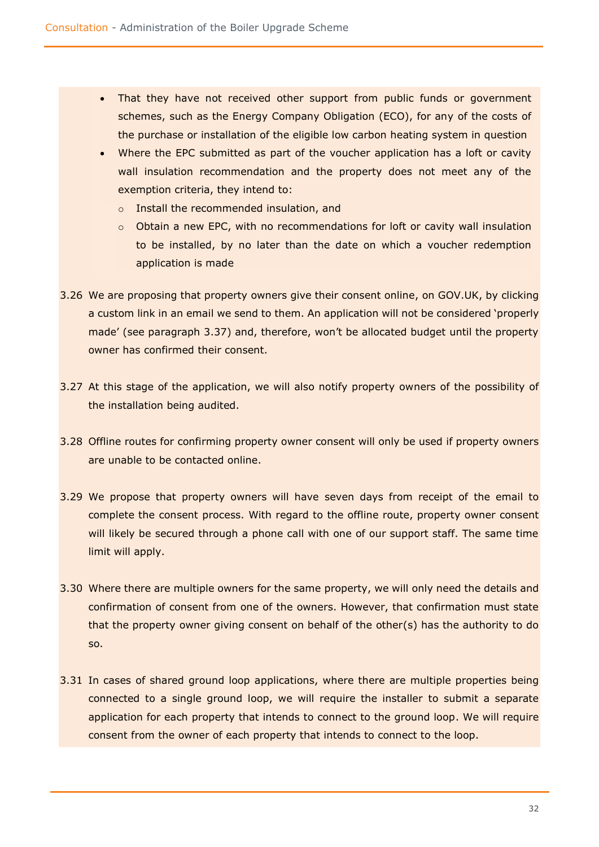- That they have not received other support from public funds or government schemes, such as the Energy Company Obligation (ECO), for any of the costs of the purchase or installation of the eligible low carbon heating system in question
- Where the EPC submitted as part of the voucher application has a loft or cavity wall insulation recommendation and the property does not meet any of the exemption criteria, they intend to:
	- o Install the recommended insulation, and
	- o Obtain a new EPC, with no recommendations for loft or cavity wall insulation to be installed, by no later than the date on which a voucher redemption application is made
- 3.26 We are proposing that property owners give their consent online, on GOV.UK, by clicking a custom link in an email we send to them. An application will not be considered 'properly made' (see paragraph 3.37) and, therefore, won't be allocated budget until the property owner has confirmed their consent.
- 3.27 At this stage of the application, we will also notify property owners of the possibility of the installation being audited.
- 3.28 Offline routes for confirming property owner consent will only be used if property owners are unable to be contacted online.
- 3.29 We propose that property owners will have seven days from receipt of the email to complete the consent process. With regard to the offline route, property owner consent will likely be secured through a phone call with one of our support staff. The same time limit will apply.
- 3.30 Where there are multiple owners for the same property, we will only need the details and confirmation of consent from one of the owners. However, that confirmation must state that the property owner giving consent on behalf of the other(s) has the authority to do so.
- 3.31 In cases of shared ground loop applications, where there are multiple properties being connected to a single ground loop, we will require the installer to submit a separate application for each property that intends to connect to the ground loop. We will require consent from the owner of each property that intends to connect to the loop.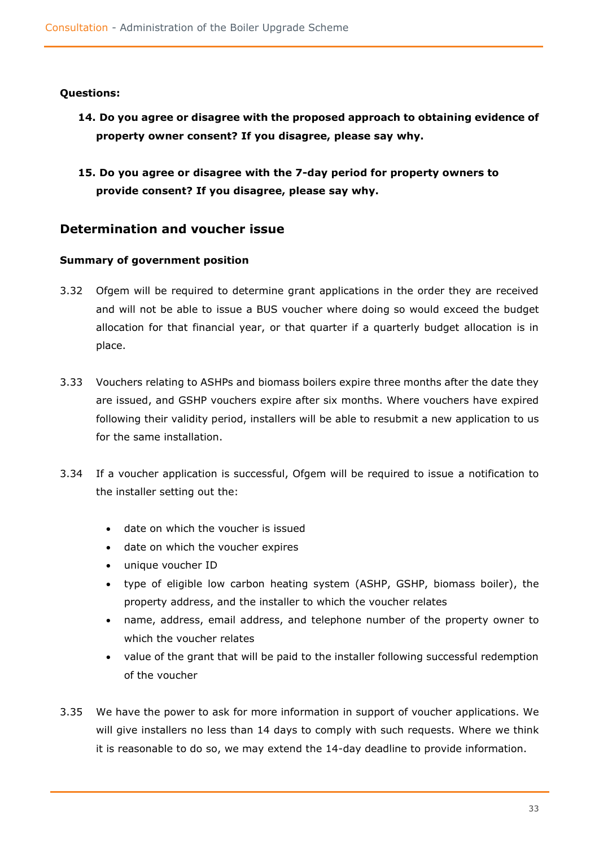### **Questions:**

- **14. Do you agree or disagree with the proposed approach to obtaining evidence of property owner consent? If you disagree, please say why.**
- **15. Do you agree or disagree with the 7-day period for property owners to provide consent? If you disagree, please say why.**

### <span id="page-32-0"></span>**Determination and voucher issue**

### **Summary of government position**

- 3.32 Ofgem will be required to determine grant applications in the order they are received and will not be able to issue a BUS voucher where doing so would exceed the budget allocation for that financial year, or that quarter if a quarterly budget allocation is in place.
- 3.33 Vouchers relating to ASHPs and biomass boilers expire three months after the date they are issued, and GSHP vouchers expire after six months. Where vouchers have expired following their validity period, installers will be able to resubmit a new application to us for the same installation.
- 3.34 If a voucher application is successful, Ofgem will be required to issue a notification to the installer setting out the:
	- date on which the voucher is issued
	- date on which the voucher expires
	- unique voucher ID
	- type of eligible low carbon heating system (ASHP, GSHP, biomass boiler), the property address, and the installer to which the voucher relates
	- name, address, email address, and telephone number of the property owner to which the voucher relates
	- value of the grant that will be paid to the installer following successful redemption of the voucher
- 3.35 We have the power to ask for more information in support of voucher applications. We will give installers no less than 14 days to comply with such requests. Where we think it is reasonable to do so, we may extend the 14-day deadline to provide information.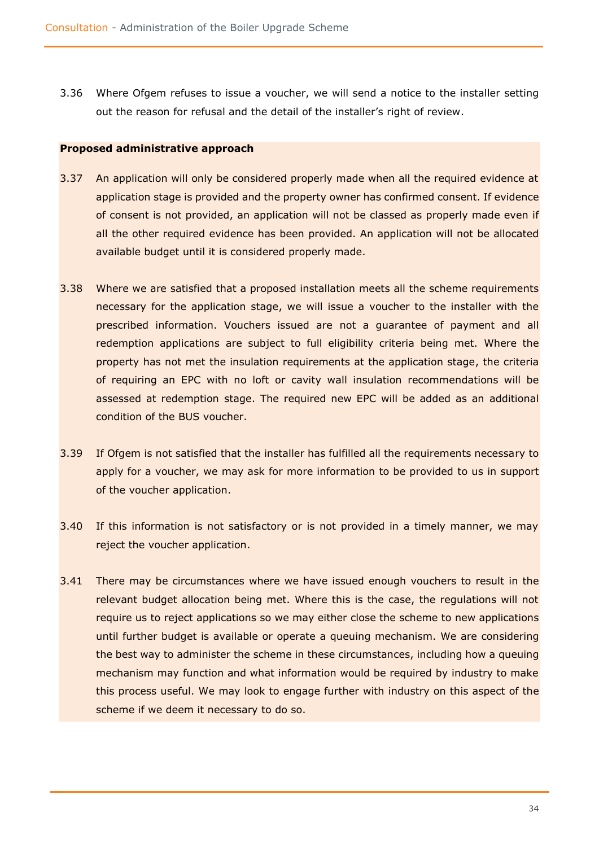3.36 Where Ofgem refuses to issue a voucher, we will send a notice to the installer setting out the reason for refusal and the detail of the installer's right of review.

### **Proposed administrative approach**

- 3.37 An application will only be considered properly made when all the required evidence at application stage is provided and the property owner has confirmed consent. If evidence of consent is not provided, an application will not be classed as properly made even if all the other required evidence has been provided. An application will not be allocated available budget until it is considered properly made.
- 3.38 Where we are satisfied that a proposed installation meets all the scheme requirements necessary for the application stage, we will issue a voucher to the installer with the prescribed information. Vouchers issued are not a guarantee of payment and all redemption applications are subject to full eligibility criteria being met. Where the property has not met the insulation requirements at the application stage, the criteria of requiring an EPC with no loft or cavity wall insulation recommendations will be assessed at redemption stage. The required new EPC will be added as an additional condition of the BUS voucher.
- 3.39 If Ofgem is not satisfied that the installer has fulfilled all the requirements necessary to apply for a voucher, we may ask for more information to be provided to us in support of the voucher application.
- 3.40 If this information is not satisfactory or is not provided in a timely manner, we may reject the voucher application.
- 3.41 There may be circumstances where we have issued enough vouchers to result in the relevant budget allocation being met. Where this is the case, the regulations will not require us to reject applications so we may either close the scheme to new applications until further budget is available or operate a queuing mechanism. We are considering the best way to administer the scheme in these circumstances, including how a queuing mechanism may function and what information would be required by industry to make this process useful. We may look to engage further with industry on this aspect of the scheme if we deem it necessary to do so.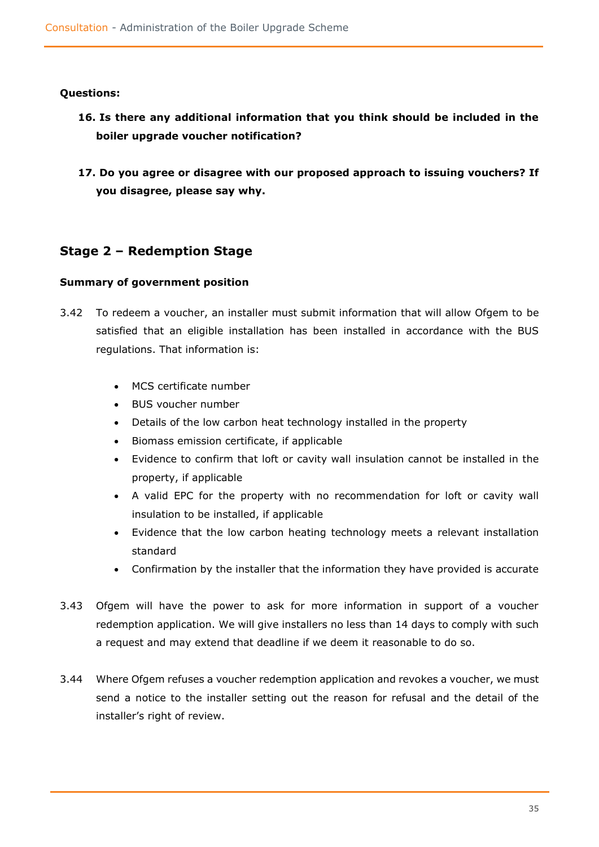### **Questions:**

- **16. Is there any additional information that you think should be included in the boiler upgrade voucher notification?**
- **17. Do you agree or disagree with our proposed approach to issuing vouchers? If you disagree, please say why.**

### <span id="page-34-0"></span>**Stage 2 – Redemption Stage**

### **Summary of government position**

- 3.42 To redeem a voucher, an installer must submit information that will allow Ofgem to be satisfied that an eligible installation has been installed in accordance with the BUS regulations. That information is:
	- MCS certificate number
	- BUS voucher number
	- Details of the low carbon heat technology installed in the property
	- Biomass emission certificate, if applicable
	- Evidence to confirm that loft or cavity wall insulation cannot be installed in the property, if applicable
	- A valid EPC for the property with no recommendation for loft or cavity wall insulation to be installed, if applicable
	- Evidence that the low carbon heating technology meets a relevant installation standard
	- Confirmation by the installer that the information they have provided is accurate
- 3.43 Ofgem will have the power to ask for more information in support of a voucher redemption application. We will give installers no less than 14 days to comply with such a request and may extend that deadline if we deem it reasonable to do so.
- 3.44 Where Ofgem refuses a voucher redemption application and revokes a voucher, we must send a notice to the installer setting out the reason for refusal and the detail of the installer's right of review.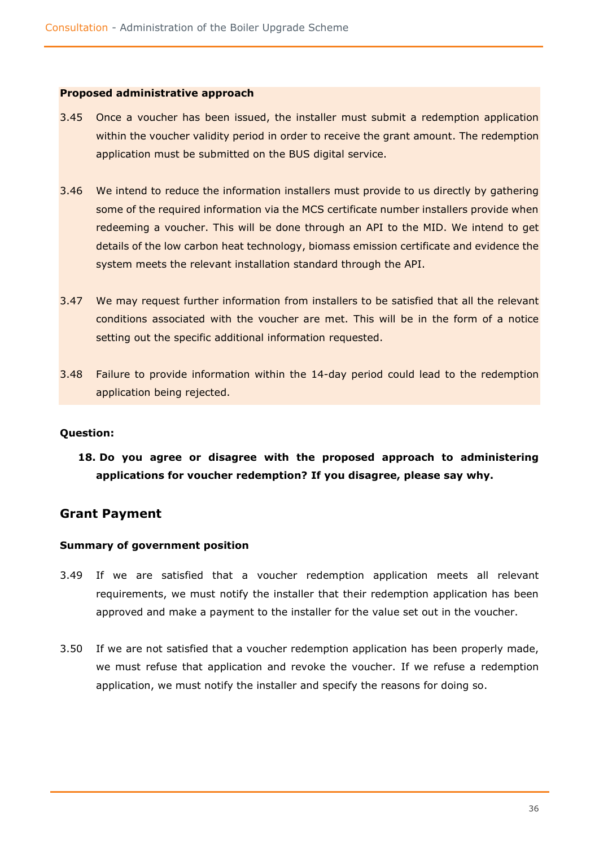#### **Proposed administrative approach**

- 3.45 Once a voucher has been issued, the installer must submit a redemption application within the voucher validity period in order to receive the grant amount. The redemption application must be submitted on the BUS digital service.
- 3.46 We intend to reduce the information installers must provide to us directly by gathering some of the required information via the MCS certificate number installers provide when redeeming a voucher. This will be done through an API to the MID. We intend to get details of the low carbon heat technology, biomass emission certificate and evidence the system meets the relevant installation standard through the API.
- 3.47 We may request further information from installers to be satisfied that all the relevant conditions associated with the voucher are met. This will be in the form of a notice setting out the specific additional information requested.
- 3.48 Failure to provide information within the 14-day period could lead to the redemption application being rejected.

### **Question:**

**18. Do you agree or disagree with the proposed approach to administering applications for voucher redemption? If you disagree, please say why.**

### <span id="page-35-0"></span>**Grant Payment**

### **Summary of government position**

- 3.49 If we are satisfied that a voucher redemption application meets all relevant requirements, we must notify the installer that their redemption application has been approved and make a payment to the installer for the value set out in the voucher.
- 3.50 If we are not satisfied that a voucher redemption application has been properly made, we must refuse that application and revoke the voucher. If we refuse a redemption application, we must notify the installer and specify the reasons for doing so.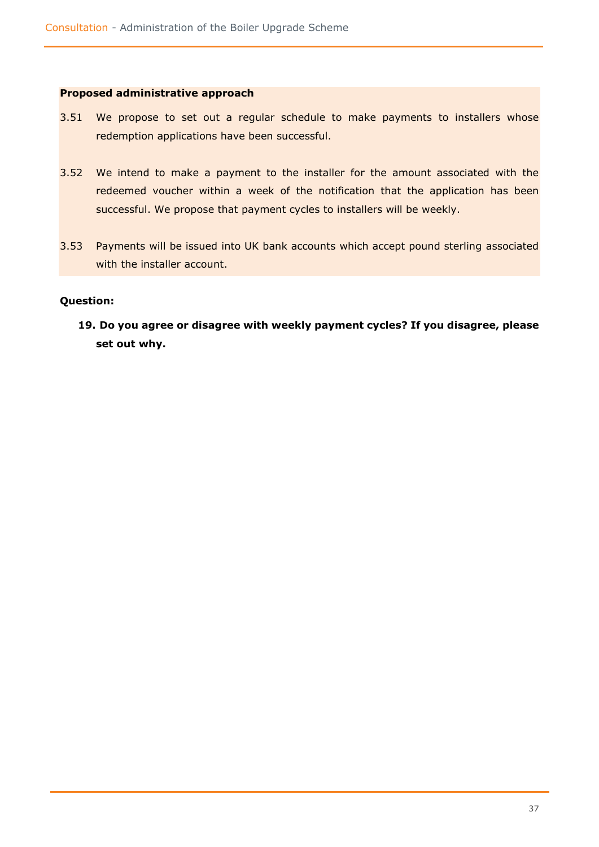#### **Proposed administrative approach**

- 3.51 We propose to set out a regular schedule to make payments to installers whose redemption applications have been successful.
- 3.52 We intend to make a payment to the installer for the amount associated with the redeemed voucher within a week of the notification that the application has been successful. We propose that payment cycles to installers will be weekly.
- 3.53 Payments will be issued into UK bank accounts which accept pound sterling associated with the installer account.

### **Question:**

**19. Do you agree or disagree with weekly payment cycles? If you disagree, please set out why.**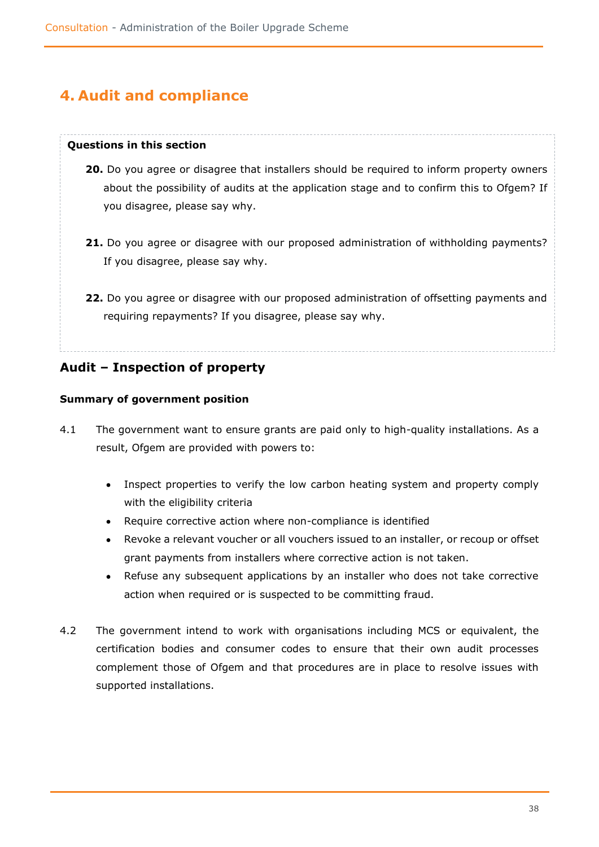# <span id="page-37-0"></span>**4. Audit and compliance**

### **Questions in this section**

- **20.** Do you agree or disagree that installers should be required to inform property owners about the possibility of audits at the application stage and to confirm this to Ofgem? If you disagree, please say why.
- **21.** Do you agree or disagree with our proposed administration of withholding payments? If you disagree, please say why.
- **22.** Do you agree or disagree with our proposed administration of offsetting payments and requiring repayments? If you disagree, please say why.

<span id="page-37-1"></span>**Audit – Inspection of property** 

### **Summary of government position**

- 4.1 The government want to ensure grants are paid only to high-quality installations. As a result, Ofgem are provided with powers to:
	- Inspect properties to verify the low carbon heating system and property comply with the eligibility criteria
	- Require corrective action where non-compliance is identified
	- Revoke a relevant voucher or all vouchers issued to an installer, or recoup or offset grant payments from installers where corrective action is not taken.
	- Refuse any subsequent applications by an installer who does not take corrective action when required or is suspected to be committing fraud.
- 4.2 The government intend to work with organisations including MCS or equivalent, the certification bodies and consumer codes to ensure that their own audit processes complement those of Ofgem and that procedures are in place to resolve issues with supported installations.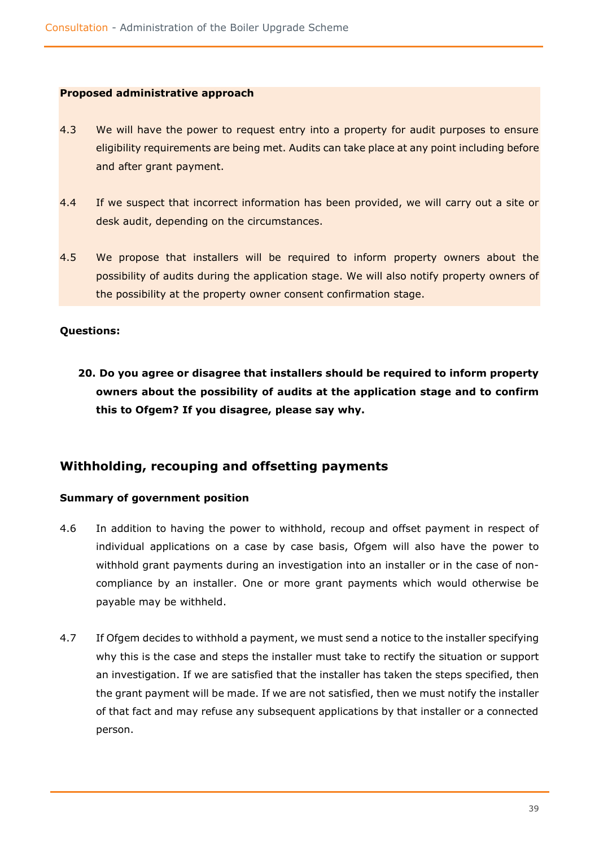### **Proposed administrative approach**

- 4.3 We will have the power to request entry into a property for audit purposes to ensure eligibility requirements are being met. Audits can take place at any point including before and after grant payment.
- 4.4 If we suspect that incorrect information has been provided, we will carry out a site or desk audit, depending on the circumstances.
- 4.5 We propose that installers will be required to inform property owners about the possibility of audits during the application stage. We will also notify property owners of the possibility at the property owner consent confirmation stage.

### **Questions:**

**20. Do you agree or disagree that installers should be required to inform property owners about the possibility of audits at the application stage and to confirm this to Ofgem? If you disagree, please say why.**

### <span id="page-38-0"></span>**Withholding, recouping and offsetting payments**

### **Summary of government position**

- 4.6 In addition to having the power to withhold, recoup and offset payment in respect of individual applications on a case by case basis, Ofgem will also have the power to withhold grant payments during an investigation into an installer or in the case of noncompliance by an installer. One or more grant payments which would otherwise be payable may be withheld.
- 4.7 If Ofgem decides to withhold a payment, we must send a notice to the installer specifying why this is the case and steps the installer must take to rectify the situation or support an investigation. If we are satisfied that the installer has taken the steps specified, then the grant payment will be made. If we are not satisfied, then we must notify the installer of that fact and may refuse any subsequent applications by that installer or a connected person.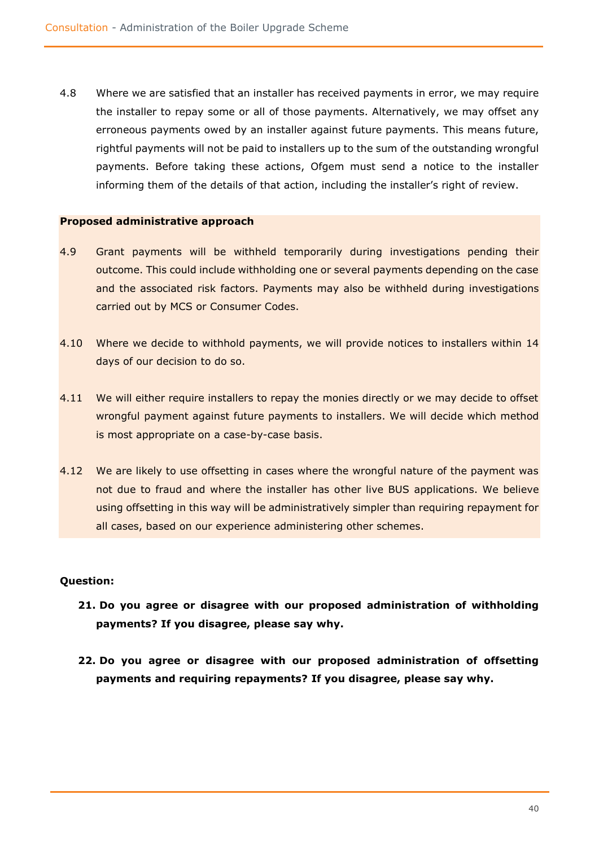4.8 Where we are satisfied that an installer has received payments in error, we may require the installer to repay some or all of those payments. Alternatively, we may offset any erroneous payments owed by an installer against future payments. This means future, rightful payments will not be paid to installers up to the sum of the outstanding wrongful payments. Before taking these actions, Ofgem must send a notice to the installer informing them of the details of that action, including the installer's right of review.

### **Proposed administrative approach**

- 4.9 Grant payments will be withheld temporarily during investigations pending their outcome. This could include withholding one or several payments depending on the case and the associated risk factors. Payments may also be withheld during investigations carried out by MCS or Consumer Codes.
- 4.10 Where we decide to withhold payments, we will provide notices to installers within 14 days of our decision to do so.
- 4.11 We will either require installers to repay the monies directly or we may decide to offset wrongful payment against future payments to installers. We will decide which method is most appropriate on a case-by-case basis.
- 4.12 We are likely to use offsetting in cases where the wrongful nature of the payment was not due to fraud and where the installer has other live BUS applications. We believe using offsetting in this way will be administratively simpler than requiring repayment for all cases, based on our experience administering other schemes.

### **Question:**

- **21. Do you agree or disagree with our proposed administration of withholding payments? If you disagree, please say why.**
- **22. Do you agree or disagree with our proposed administration of offsetting payments and requiring repayments? If you disagree, please say why.**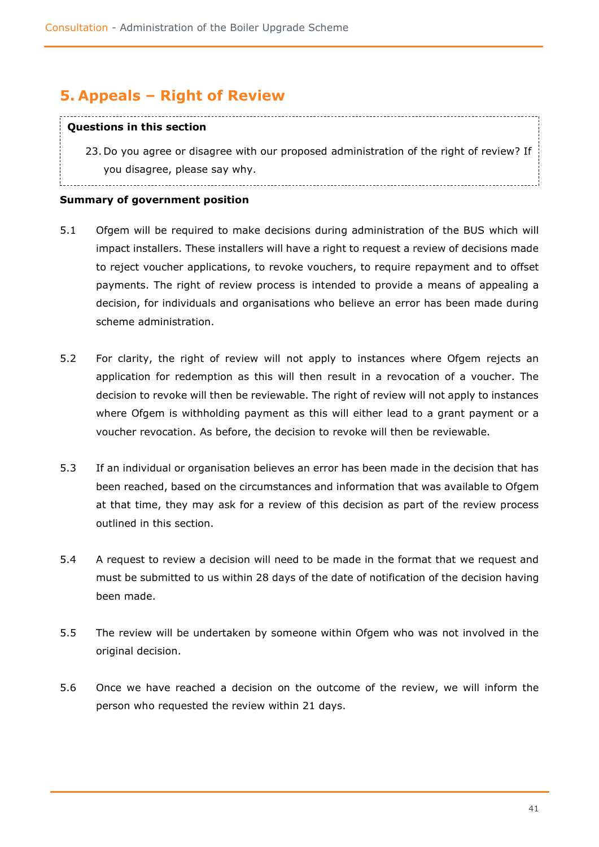# <span id="page-40-0"></span>**5. Appeals – Right of Review**

### **Questions in this section**

23. Do you agree or disagree with our proposed administration of the right of review? If you disagree, please say why.

### **Summary of government position**

- 5.1 Ofgem will be required to make decisions during administration of the BUS which will impact installers. These installers will have a right to request a review of decisions made to reject voucher applications, to revoke vouchers, to require repayment and to offset payments. The right of review process is intended to provide a means of appealing a decision, for individuals and organisations who believe an error has been made during scheme administration.
- 5.2 For clarity, the right of review will not apply to instances where Ofgem rejects an application for redemption as this will then result in a revocation of a voucher. The decision to revoke will then be reviewable. The right of review will not apply to instances where Ofgem is withholding payment as this will either lead to a grant payment or a voucher revocation. As before, the decision to revoke will then be reviewable.
- 5.3 If an individual or organisation believes an error has been made in the decision that has been reached, based on the circumstances and information that was available to Ofgem at that time, they may ask for a review of this decision as part of the review process outlined in this section.
- 5.4 A request to review a decision will need to be made in the format that we request and must be submitted to us within 28 days of the date of notification of the decision having been made.
- 5.5 The review will be undertaken by someone within Ofgem who was not involved in the original decision.
- 5.6 Once we have reached a decision on the outcome of the review, we will inform the person who requested the review within 21 days.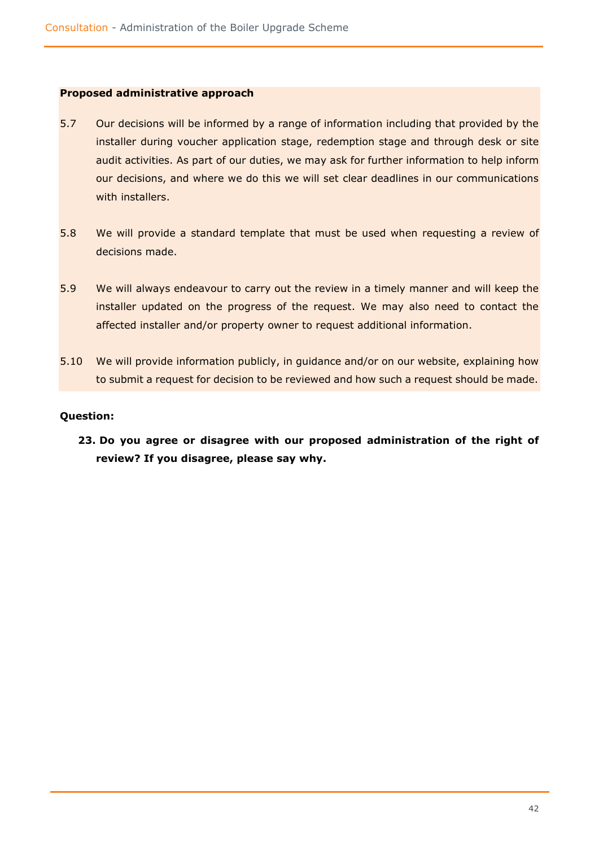### **Proposed administrative approach**

- 5.7 Our decisions will be informed by a range of information including that provided by the installer during voucher application stage, redemption stage and through desk or site audit activities. As part of our duties, we may ask for further information to help inform our decisions, and where we do this we will set clear deadlines in our communications with installers.
- 5.8 We will provide a standard template that must be used when requesting a review of decisions made.
- 5.9 We will always endeavour to carry out the review in a timely manner and will keep the installer updated on the progress of the request. We may also need to contact the affected installer and/or property owner to request additional information.
- 5.10 We will provide information publicly, in guidance and/or on our website, explaining how to submit a request for decision to be reviewed and how such a request should be made.

### **Question:**

**23. Do you agree or disagree with our proposed administration of the right of review? If you disagree, please say why.**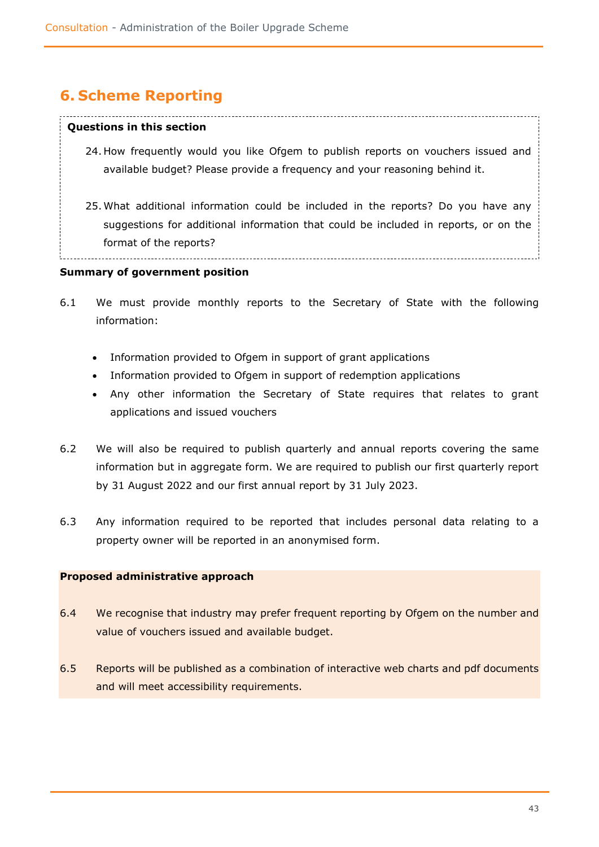# <span id="page-42-0"></span>**6. Scheme Reporting**

#### **Questions in this section**

- 24. How frequently would you like Ofgem to publish reports on vouchers issued and available budget? Please provide a frequency and your reasoning behind it.
- 25. What additional information could be included in the reports? Do you have any suggestions for additional information that could be included in reports, or on the format of the reports?

### **Summary of government position**

- 6.1 We must provide monthly reports to the Secretary of State with the following information:
	- Information provided to Ofgem in support of grant applications
	- Information provided to Ofgem in support of redemption applications
	- Any other information the Secretary of State requires that relates to grant applications and issued vouchers
- 6.2 We will also be required to publish quarterly and annual reports covering the same information but in aggregate form. We are required to publish our first quarterly report by 31 August 2022 and our first annual report by 31 July 2023.
- 6.3 Any information required to be reported that includes personal data relating to a property owner will be reported in an anonymised form.

### **Proposed administrative approach**

- 6.4 We recognise that industry may prefer frequent reporting by Ofgem on the number and value of vouchers issued and available budget.
- 6.5 Reports will be published as a combination of interactive web charts and pdf documents and will meet accessibility requirements.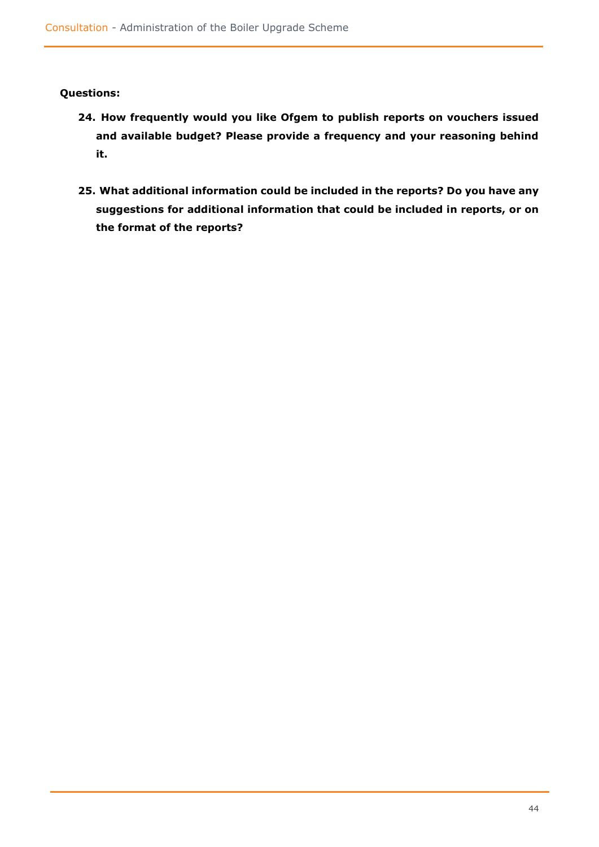### **Questions:**

- **24. How frequently would you like Ofgem to publish reports on vouchers issued and available budget? Please provide a frequency and your reasoning behind it.**
- **25. What additional information could be included in the reports? Do you have any suggestions for additional information that could be included in reports, or on the format of the reports?**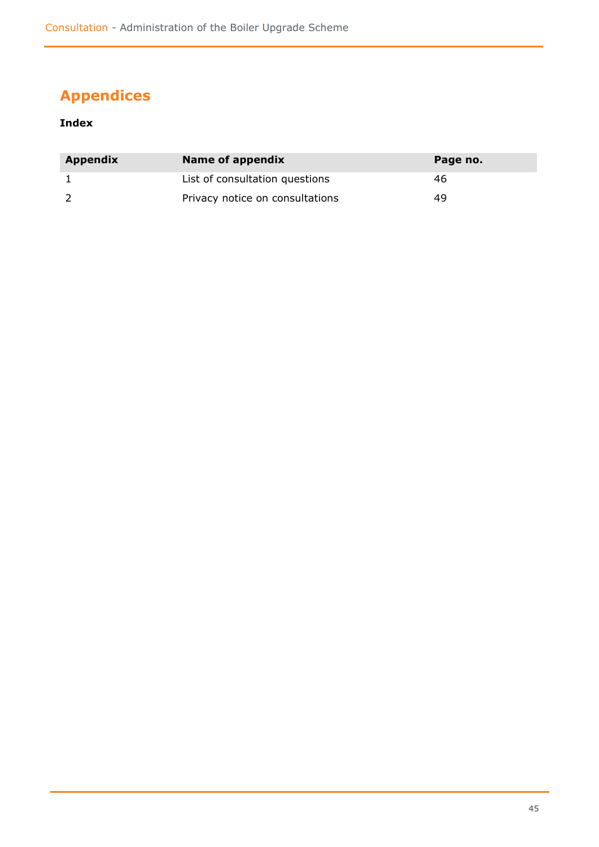# <span id="page-44-0"></span>**Appendices**

### **Index**

| <b>Appendix</b> | Name of appendix                | Page no. |
|-----------------|---------------------------------|----------|
|                 | List of consultation questions  | 46       |
|                 | Privacy notice on consultations | 49       |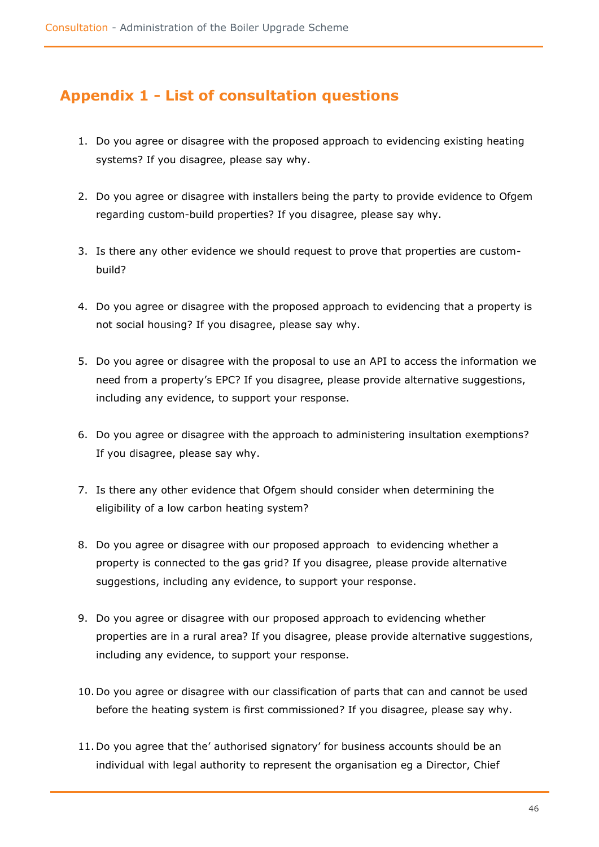# **Appendix 1 - List of consultation questions**

- 1. Do you agree or disagree with the proposed approach to evidencing existing heating systems? If you disagree, please say why.
- 2. Do you agree or disagree with installers being the party to provide evidence to Ofgem regarding custom-build properties? If you disagree, please say why.
- 3. Is there any other evidence we should request to prove that properties are custombuild?
- 4. Do you agree or disagree with the proposed approach to evidencing that a property is not social housing? If you disagree, please say why.
- 5. Do you agree or disagree with the proposal to use an API to access the information we need from a property's EPC? If you disagree, please provide alternative suggestions, including any evidence, to support your response.
- 6. Do you agree or disagree with the approach to administering insultation exemptions? If you disagree, please say why.
- 7. Is there any other evidence that Ofgem should consider when determining the eligibility of a low carbon heating system?
- 8. Do you agree or disagree with our proposed approach to evidencing whether a property is connected to the gas grid? If you disagree, please provide alternative suggestions, including any evidence, to support your response.
- 9. Do you agree or disagree with our proposed approach to evidencing whether properties are in a rural area? If you disagree, please provide alternative suggestions, including any evidence, to support your response.
- 10. Do you agree or disagree with our classification of parts that can and cannot be used before the heating system is first commissioned? If you disagree, please say why.
- 11. Do you agree that the' authorised signatory' for business accounts should be an individual with legal authority to represent the organisation eg a Director, Chief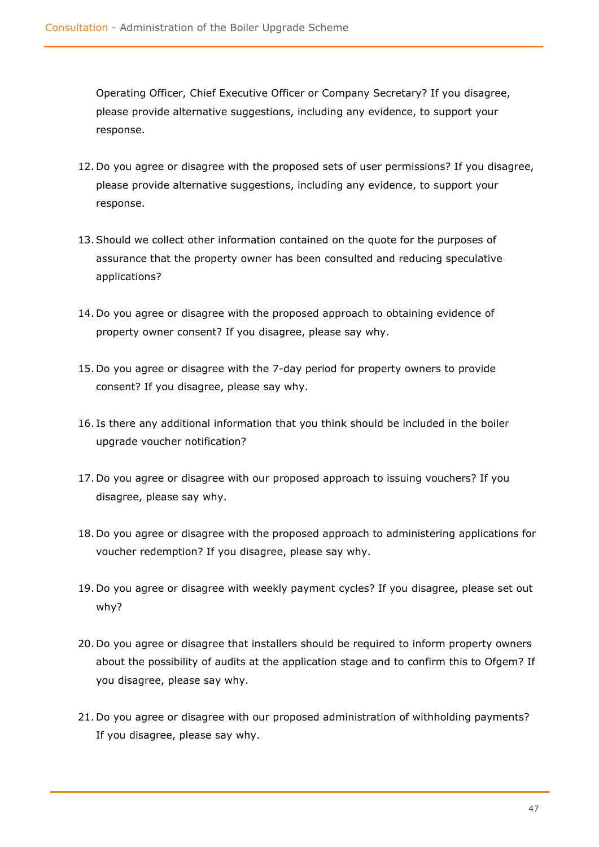Operating Officer, Chief Executive Officer or Company Secretary? If you disagree, please provide alternative suggestions, including any evidence, to support your response.

- 12. Do you agree or disagree with the proposed sets of user permissions? If you disagree, please provide alternative suggestions, including any evidence, to support your response.
- 13.Should we collect other information contained on the quote for the purposes of assurance that the property owner has been consulted and reducing speculative applications?
- 14. Do you agree or disagree with the proposed approach to obtaining evidence of property owner consent? If you disagree, please say why.
- 15. Do you agree or disagree with the 7-day period for property owners to provide consent? If you disagree, please say why.
- 16. Is there any additional information that you think should be included in the boiler upgrade voucher notification?
- 17. Do you agree or disagree with our proposed approach to issuing vouchers? If you disagree, please say why.
- 18. Do you agree or disagree with the proposed approach to administering applications for voucher redemption? If you disagree, please say why.
- 19. Do you agree or disagree with weekly payment cycles? If you disagree, please set out why?
- 20. Do you agree or disagree that installers should be required to inform property owners about the possibility of audits at the application stage and to confirm this to Ofgem? If you disagree, please say why.
- 21. Do you agree or disagree with our proposed administration of withholding payments? If you disagree, please say why.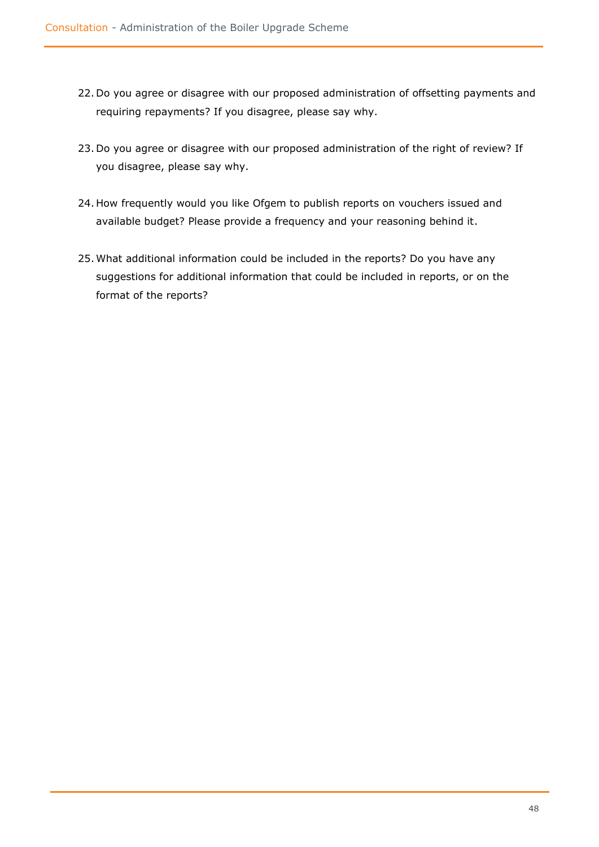- 22. Do you agree or disagree with our proposed administration of offsetting payments and requiring repayments? If you disagree, please say why.
- 23. Do you agree or disagree with our proposed administration of the right of review? If you disagree, please say why.
- 24. How frequently would you like Ofgem to publish reports on vouchers issued and available budget? Please provide a frequency and your reasoning behind it.
- 25. What additional information could be included in the reports? Do you have any suggestions for additional information that could be included in reports, or on the format of the reports?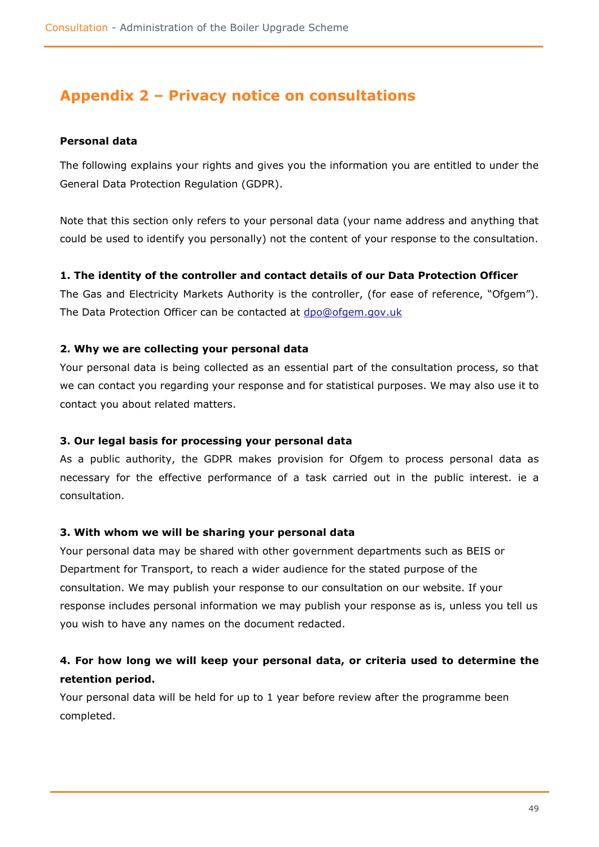# **Appendix 2 – Privacy notice on consultations**

### **Personal data**

The following explains your rights and gives you the information you are entitled to under the General Data Protection Regulation (GDPR).

Note that this section only refers to your personal data (your name address and anything that could be used to identify you personally) not the content of your response to the consultation.

### **1. The identity of the controller and contact details of our Data Protection Officer**

The Gas and Electricity Markets Authority is the controller, (for ease of reference, "Ofgem"). The Data Protection Officer can be contacted at [dpo@ofgem.gov.uk](mailto:dpo@ofgem.gov.uk)

### **2. Why we are collecting your personal data**

Your personal data is being collected as an essential part of the consultation process, so that we can contact you regarding your response and for statistical purposes. We may also use it to contact you about related matters.

### **3. Our legal basis for processing your personal data**

As a public authority, the GDPR makes provision for Ofgem to process personal data as necessary for the effective performance of a task carried out in the public interest. ie a consultation.

### **3. With whom we will be sharing your personal data**

Your personal data may be shared with other government departments such as BEIS or Department for Transport, to reach a wider audience for the stated purpose of the consultation. We may publish your response to our consultation on our website. If your response includes personal information we may publish your response as is, unless you tell us you wish to have any names on the document redacted.

## **4. For how long we will keep your personal data, or criteria used to determine the retention period.**

Your personal data will be held for up to 1 year before review after the programme been completed.